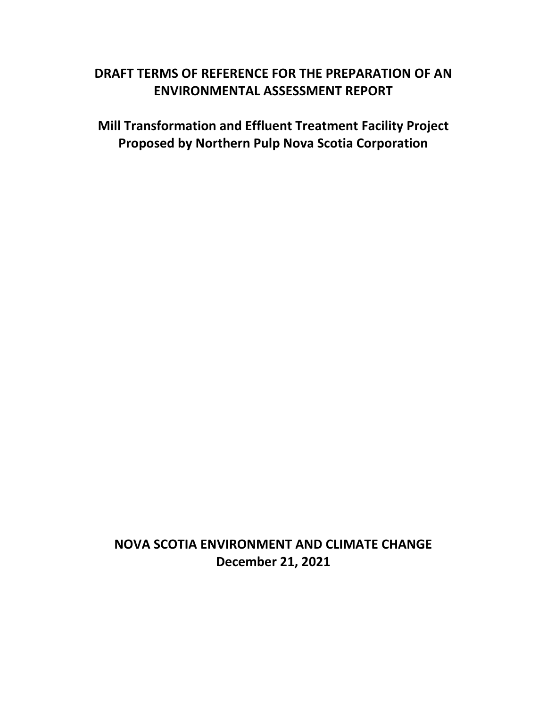# **DRAFT TERMS OF REFERENCE FOR THE PREPARATION OF AN ENVIRONMENTAL ASSESSMENT REPORT**

**Mill Transformation and Effluent Treatment Facility Project Proposed by Northern Pulp Nova Scotia Corporation**

**NOVA SCOTIA ENVIRONMENT AND CLIMATE CHANGE December 21, 2021**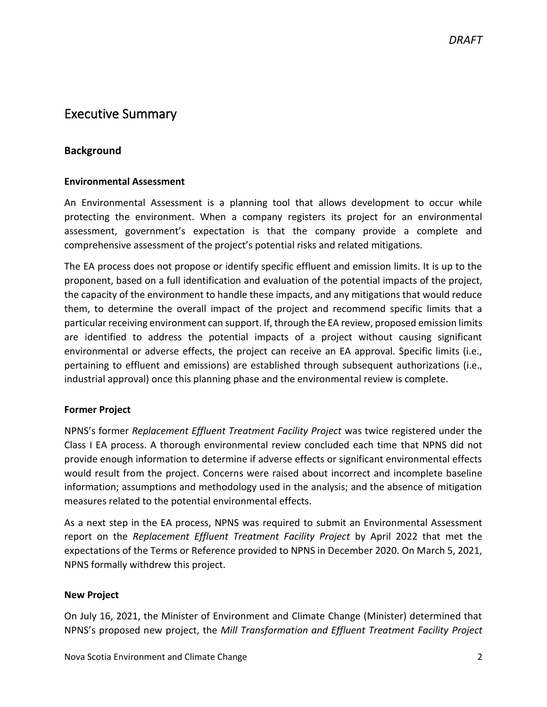### Executive Summary

#### **Background**

#### **Environmental Assessment**

An Environmental Assessment is a planning tool that allows development to occur while protecting the environment. When a company registers its project for an environmental assessment, government's expectation is that the company provide a complete and comprehensive assessment of the project's potential risks and related mitigations.

The EA process does not propose or identify specific effluent and emission limits. It is up to the proponent, based on a full identification and evaluation of the potential impacts of the project, the capacity of the environment to handle these impacts, and any mitigations that would reduce them, to determine the overall impact of the project and recommend specific limits that a particular receiving environment can support. If, through the EA review, proposed emission limits are identified to address the potential impacts of a project without causing significant environmental or adverse effects, the project can receive an EA approval. Specific limits (i.e., pertaining to effluent and emissions) are established through subsequent authorizations (i.e., industrial approval) once this planning phase and the environmental review is complete.

#### **Former Project**

NPNS's former *Replacement Effluent Treatment Facility Project* was twice registered under the Class I EA process. A thorough environmental review concluded each time that NPNS did not provide enough information to determine if adverse effects or significant environmental effects would result from the project. Concerns were raised about incorrect and incomplete baseline information; assumptions and methodology used in the analysis; and the absence of mitigation measures related to the potential environmental effects.

As a next step in the EA process, NPNS was required to submit an Environmental Assessment report on the *Replacement Effluent Treatment Facility Project* by April 2022 that met the expectations of the Terms or Reference provided to NPNS in December 2020. On March 5, 2021, NPNS formally withdrew this project.

#### **New Project**

On July 16, 2021, the Minister of Environment and Climate Change (Minister) determined that NPNS's proposed new project, the *Mill Transformation and Effluent Treatment Facility Project*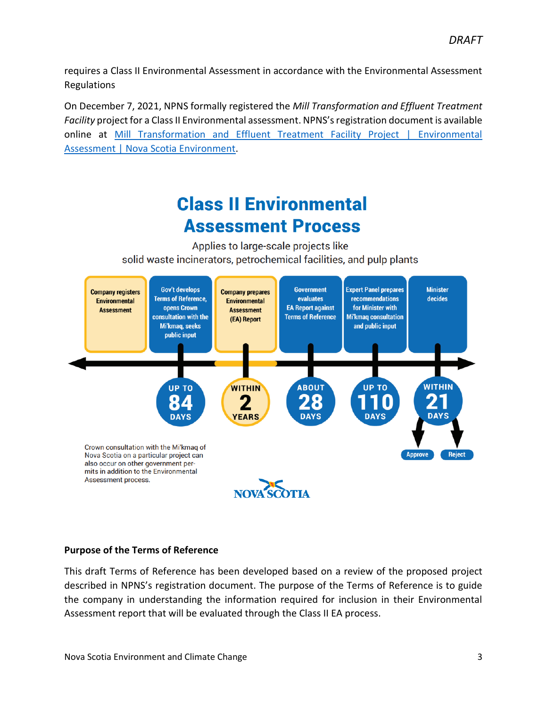requires a Class II Environmental Assessment in accordance with the Environmental Assessment Regulations

On December 7, 2021, NPNS formally registered the *Mill Transformation and Effluent Treatment Facility* project for a Class II Environmental assessment. NPNS's registration document is available online at [Mill Transformation and Effluent Treatment Facility Project | Environmental](https://www.novascotia.ca/nse/ea/mill-transformation-and-effluent-treatment-facility/)  [Assessment | Nova Scotia Environment.](https://www.novascotia.ca/nse/ea/mill-transformation-and-effluent-treatment-facility/)

# **Class II Environmental Assessment Process**

Applies to large-scale projects like solid waste incinerators, petrochemical facilities, and pulp plants



#### **Purpose of the Terms of Reference**

This draft Terms of Reference has been developed based on a review of the proposed project described in NPNS's registration document. The purpose of the Terms of Reference is to guide the company in understanding the information required for inclusion in their Environmental Assessment report that will be evaluated through the Class II EA process.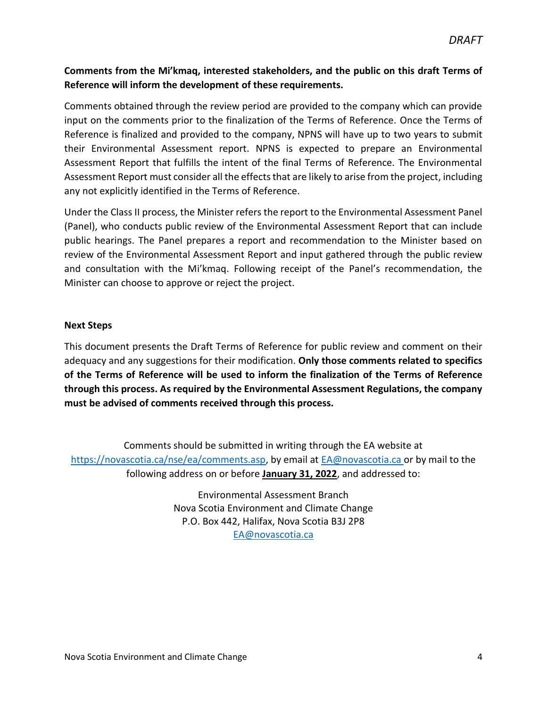#### **Comments from the Mi'kmaq, interested stakeholders, and the public on this draft Terms of Reference will inform the development of these requirements.**

Comments obtained through the review period are provided to the company which can provide input on the comments prior to the finalization of the Terms of Reference. Once the Terms of Reference is finalized and provided to the company, NPNS will have up to two years to submit their Environmental Assessment report. NPNS is expected to prepare an Environmental Assessment Report that fulfills the intent of the final Terms of Reference. The Environmental Assessment Report must consider all the effects that are likely to arise from the project, including any not explicitly identified in the Terms of Reference.

Under the Class II process, the Minister refers the report to the Environmental Assessment Panel (Panel), who conducts public review of the Environmental Assessment Report that can include public hearings. The Panel prepares a report and recommendation to the Minister based on review of the Environmental Assessment Report and input gathered through the public review and consultation with the Mi'kmaq. Following receipt of the Panel's recommendation, the Minister can choose to approve or reject the project.

#### **Next Steps**

This document presents the Draft Terms of Reference for public review and comment on their adequacy and any suggestions for their modification. **Only those comments related to specifics of the Terms of Reference will be used to inform the finalization of the Terms of Reference through this process. As required by the Environmental Assessment Regulations, the company must be advised of comments received through this process.**

Comments should be submitted in writing through the EA website at [https://novascotia.ca/nse/ea/comments.asp,](https://novascotia.ca/nse/ea/comments.asp) by email at **EA@novascotia.ca** or by mail to the following address on or before **January 31, 2022**, and addressed to:

> Environmental Assessment Branch Nova Scotia Environment and Climate Change P.O. Box 442, Halifax, Nova Scotia B3J 2P8 [EA@novascotia.ca](mailto:EA@novascotia.ca)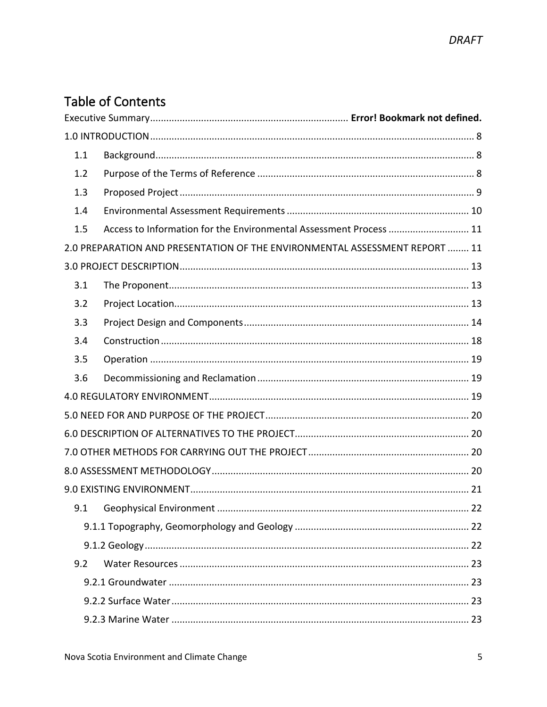# **Table of Contents**

| 1.1 |                                                                             |  |
|-----|-----------------------------------------------------------------------------|--|
| 1.2 |                                                                             |  |
| 1.3 |                                                                             |  |
| 1.4 |                                                                             |  |
| 1.5 | Access to Information for the Environmental Assessment Process  11          |  |
|     | 2.0 PREPARATION AND PRESENTATION OF THE ENVIRONMENTAL ASSESSMENT REPORT  11 |  |
|     |                                                                             |  |
| 3.1 |                                                                             |  |
| 3.2 |                                                                             |  |
| 3.3 |                                                                             |  |
| 3.4 |                                                                             |  |
| 3.5 |                                                                             |  |
| 3.6 |                                                                             |  |
|     |                                                                             |  |
|     |                                                                             |  |
|     |                                                                             |  |
|     |                                                                             |  |
|     |                                                                             |  |
|     |                                                                             |  |
| 9.1 |                                                                             |  |
|     |                                                                             |  |
|     |                                                                             |  |
| 9.2 |                                                                             |  |
|     |                                                                             |  |
|     |                                                                             |  |
|     |                                                                             |  |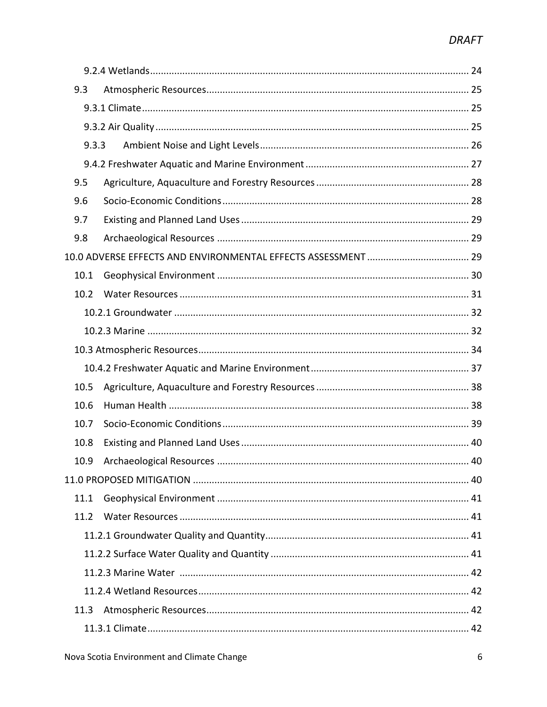| 9.3   |  |
|-------|--|
|       |  |
|       |  |
| 9.3.3 |  |
|       |  |
| 9.5   |  |
| 9.6   |  |
| 9.7   |  |
| 9.8   |  |
|       |  |
| 10.1  |  |
| 10.2  |  |
|       |  |
|       |  |
|       |  |
|       |  |
| 10.5  |  |
| 10.6  |  |
| 10.7  |  |
| 10.8  |  |
| 10.9  |  |
|       |  |
| 11.1  |  |
| 11.2  |  |
|       |  |
|       |  |
|       |  |
|       |  |
| 11.3  |  |
|       |  |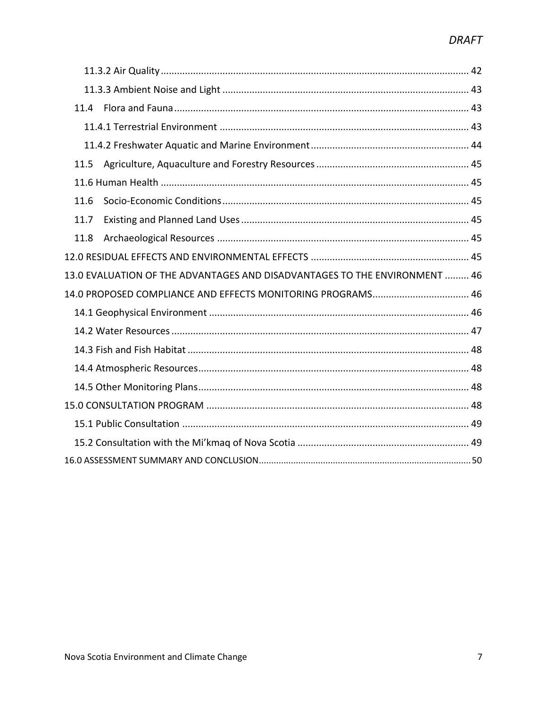| 11.4                                                                       |  |  |  |  |
|----------------------------------------------------------------------------|--|--|--|--|
|                                                                            |  |  |  |  |
|                                                                            |  |  |  |  |
| 11.5                                                                       |  |  |  |  |
|                                                                            |  |  |  |  |
| 11.6                                                                       |  |  |  |  |
| 11.7                                                                       |  |  |  |  |
| 11.8                                                                       |  |  |  |  |
|                                                                            |  |  |  |  |
| 13.0 EVALUATION OF THE ADVANTAGES AND DISADVANTAGES TO THE ENVIRONMENT  46 |  |  |  |  |
| 14.0 PROPOSED COMPLIANCE AND EFFECTS MONITORING PROGRAMS 46                |  |  |  |  |
|                                                                            |  |  |  |  |
|                                                                            |  |  |  |  |
|                                                                            |  |  |  |  |
|                                                                            |  |  |  |  |
|                                                                            |  |  |  |  |
|                                                                            |  |  |  |  |
|                                                                            |  |  |  |  |
|                                                                            |  |  |  |  |
|                                                                            |  |  |  |  |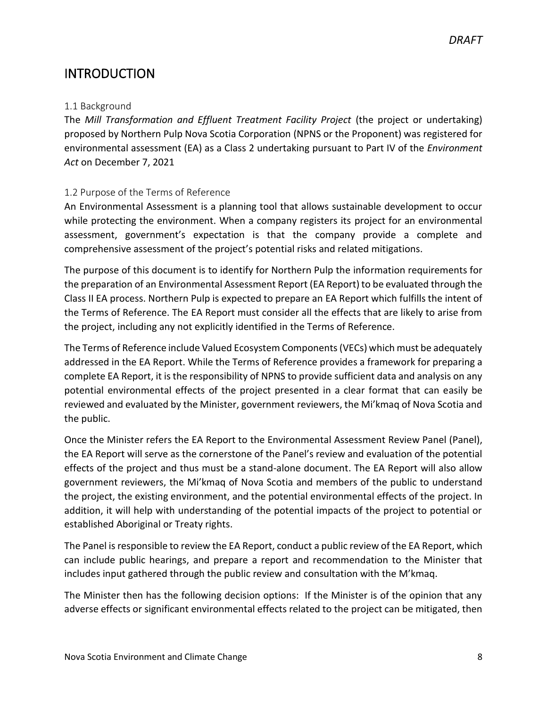# <span id="page-7-0"></span>**INTRODUCTION**

#### <span id="page-7-1"></span>1.1 Background

The *Mill Transformation and Effluent Treatment Facility Project* (the project or undertaking) proposed by Northern Pulp Nova Scotia Corporation (NPNS or the Proponent) was registered for environmental assessment (EA) as a Class 2 undertaking pursuant to Part IV of the *Environment Act* on December 7, 2021

#### <span id="page-7-2"></span>1.2 Purpose of the Terms of Reference

An Environmental Assessment is a planning tool that allows sustainable development to occur while protecting the environment. When a company registers its project for an environmental assessment, government's expectation is that the company provide a complete and comprehensive assessment of the project's potential risks and related mitigations.

The purpose of this document is to identify for Northern Pulp the information requirements for the preparation of an Environmental Assessment Report (EA Report) to be evaluated through the Class II EA process. Northern Pulp is expected to prepare an EA Report which fulfills the intent of the Terms of Reference. The EA Report must consider all the effects that are likely to arise from the project, including any not explicitly identified in the Terms of Reference.

The Terms of Reference include Valued Ecosystem Components (VECs) which must be adequately addressed in the EA Report. While the Terms of Reference provides a framework for preparing a complete EA Report, it is the responsibility of NPNS to provide sufficient data and analysis on any potential environmental effects of the project presented in a clear format that can easily be reviewed and evaluated by the Minister, government reviewers, the Mi'kmaq of Nova Scotia and the public.

Once the Minister refers the EA Report to the Environmental Assessment Review Panel (Panel), the EA Report will serve as the cornerstone of the Panel's review and evaluation of the potential effects of the project and thus must be a stand-alone document. The EA Report will also allow government reviewers, the Mi'kmaq of Nova Scotia and members of the public to understand the project, the existing environment, and the potential environmental effects of the project. In addition, it will help with understanding of the potential impacts of the project to potential or established Aboriginal or Treaty rights.

The Panel is responsible to review the EA Report, conduct a public review of the EA Report, which can include public hearings, and prepare a report and recommendation to the Minister that includes input gathered through the public review and consultation with the M'kmaq.

The Minister then has the following decision options: If the Minister is of the opinion that any adverse effects or significant environmental effects related to the project can be mitigated, then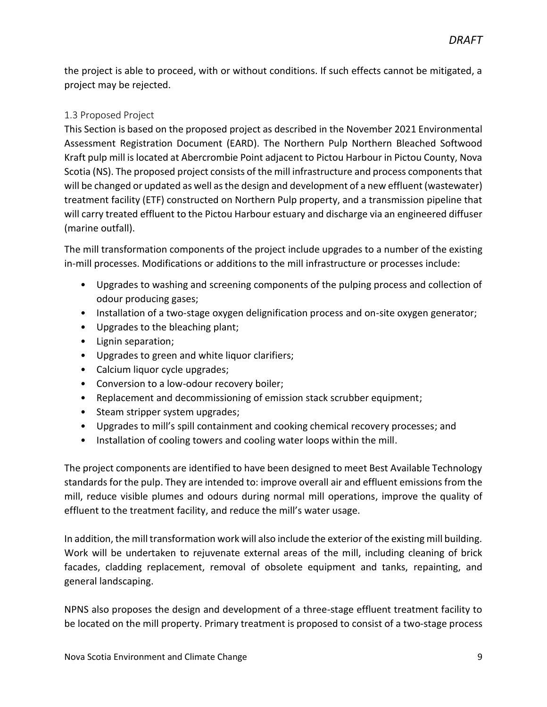the project is able to proceed, with or without conditions. If such effects cannot be mitigated, a project may be rejected.

#### <span id="page-8-0"></span>1.3 Proposed Project

This Section is based on the proposed project as described in the November 2021 Environmental Assessment Registration Document (EARD). The Northern Pulp Northern Bleached Softwood Kraft pulp mill is located at Abercrombie Point adjacent to Pictou Harbour in Pictou County, Nova Scotia (NS). The proposed project consists of the mill infrastructure and process components that will be changed or updated as well as the design and development of a new effluent (wastewater) treatment facility (ETF) constructed on Northern Pulp property, and a transmission pipeline that will carry treated effluent to the Pictou Harbour estuary and discharge via an engineered diffuser (marine outfall).

The mill transformation components of the project include upgrades to a number of the existing in-mill processes. Modifications or additions to the mill infrastructure or processes include:

- Upgrades to washing and screening components of the pulping process and collection of odour producing gases;
- Installation of a two-stage oxygen delignification process and on-site oxygen generator;
- Upgrades to the bleaching plant;
- Lignin separation;
- Upgrades to green and white liquor clarifiers;
- Calcium liquor cycle upgrades;
- Conversion to a low-odour recovery boiler;
- Replacement and decommissioning of emission stack scrubber equipment;
- Steam stripper system upgrades;
- Upgrades to mill's spill containment and cooking chemical recovery processes; and
- Installation of cooling towers and cooling water loops within the mill.

The project components are identified to have been designed to meet Best Available Technology standards for the pulp. They are intended to: improve overall air and effluent emissions from the mill, reduce visible plumes and odours during normal mill operations, improve the quality of effluent to the treatment facility, and reduce the mill's water usage.

In addition, the mill transformation work will also include the exterior of the existing mill building. Work will be undertaken to rejuvenate external areas of the mill, including cleaning of brick facades, cladding replacement, removal of obsolete equipment and tanks, repainting, and general landscaping.

NPNS also proposes the design and development of a three-stage effluent treatment facility to be located on the mill property. Primary treatment is proposed to consist of a two-stage process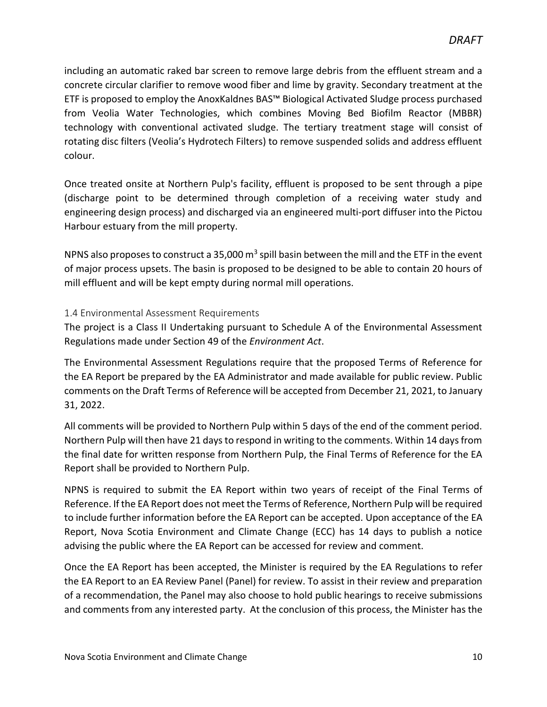including an automatic raked bar screen to remove large debris from the effluent stream and a concrete circular clarifier to remove wood fiber and lime by gravity. Secondary treatment at the ETF is proposed to employ the AnoxKaldnes BAS™ Biological Activated Sludge process purchased from Veolia Water Technologies, which combines Moving Bed Biofilm Reactor (MBBR) technology with conventional activated sludge. The tertiary treatment stage will consist of rotating disc filters (Veolia's Hydrotech Filters) to remove suspended solids and address effluent colour.

Once treated onsite at Northern Pulp's facility, effluent is proposed to be sent through a pipe (discharge point to be determined through completion of a receiving water study and engineering design process) and discharged via an engineered multi-port diffuser into the Pictou Harbour estuary from the mill property.

NPNS also proposes to construct a 35,000  $m^3$  spill basin between the mill and the ETF in the event of major process upsets. The basin is proposed to be designed to be able to contain 20 hours of mill effluent and will be kept empty during normal mill operations.

#### <span id="page-9-0"></span>1.4 Environmental Assessment Requirements

The project is a Class II Undertaking pursuant to Schedule A of the Environmental Assessment Regulations made under Section 49 of the *Environment Act*.

The Environmental Assessment Regulations require that the proposed Terms of Reference for the EA Report be prepared by the EA Administrator and made available for public review. Public comments on the Draft Terms of Reference will be accepted from December 21, 2021, to January 31, 2022.

All comments will be provided to Northern Pulp within 5 days of the end of the comment period. Northern Pulp will then have 21 days to respond in writing to the comments. Within 14 days from the final date for written response from Northern Pulp, the Final Terms of Reference for the EA Report shall be provided to Northern Pulp.

NPNS is required to submit the EA Report within two years of receipt of the Final Terms of Reference. If the EA Report does not meet the Terms of Reference, Northern Pulp will be required to include further information before the EA Report can be accepted. Upon acceptance of the EA Report, Nova Scotia Environment and Climate Change (ECC) has 14 days to publish a notice advising the public where the EA Report can be accessed for review and comment.

Once the EA Report has been accepted, the Minister is required by the EA Regulations to refer the EA Report to an EA Review Panel (Panel) for review. To assist in their review and preparation of a recommendation, the Panel may also choose to hold public hearings to receive submissions and comments from any interested party. At the conclusion of this process, the Minister has the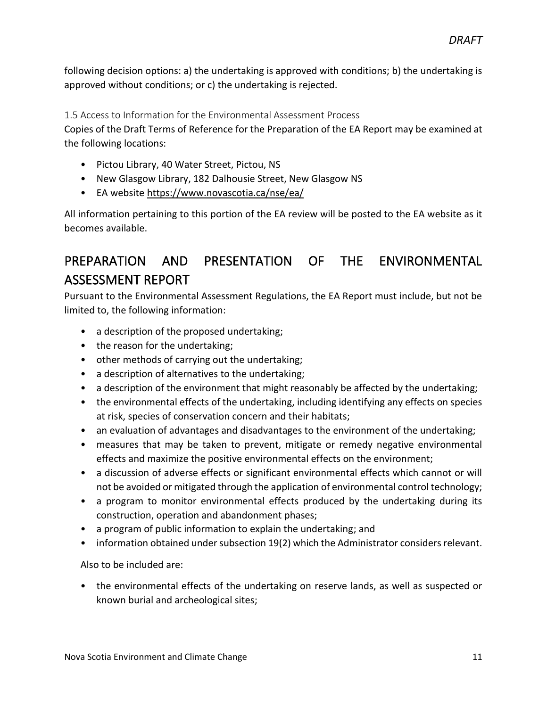following decision options: a) the undertaking is approved with conditions; b) the undertaking is approved without conditions; or c) the undertaking is rejected.

<span id="page-10-0"></span>1.5 Access to Information for the Environmental Assessment Process

Copies of the Draft Terms of Reference for the Preparation of the EA Report may be examined at the following locations:

- Pictou Library, 40 Water Street, Pictou, NS
- New Glasgow Library, 182 Dalhousie Street, New Glasgow NS
- EA website<https://www.novascotia.ca/nse/ea/>

All information pertaining to this portion of the EA review will be posted to the EA website as it becomes available.

# <span id="page-10-1"></span>PREPARATION AND PRESENTATION OF THE ENVIRONMENTAL ASSESSMENT REPORT

Pursuant to the Environmental Assessment Regulations, the EA Report must include, but not be limited to, the following information:

- a description of the proposed undertaking;
- the reason for the undertaking;
- other methods of carrying out the undertaking;
- a description of alternatives to the undertaking;
- a description of the environment that might reasonably be affected by the undertaking;
- the environmental effects of the undertaking, including identifying any effects on species at risk, species of conservation concern and their habitats;
- an evaluation of advantages and disadvantages to the environment of the undertaking;
- measures that may be taken to prevent, mitigate or remedy negative environmental effects and maximize the positive environmental effects on the environment;
- a discussion of adverse effects or significant environmental effects which cannot or will not be avoided or mitigated through the application of environmental control technology;
- a program to monitor environmental effects produced by the undertaking during its construction, operation and abandonment phases;
- a program of public information to explain the undertaking; and
- information obtained under subsection 19(2) which the Administrator considers relevant.

Also to be included are:

• the environmental effects of the undertaking on reserve lands, as well as suspected or known burial and archeological sites;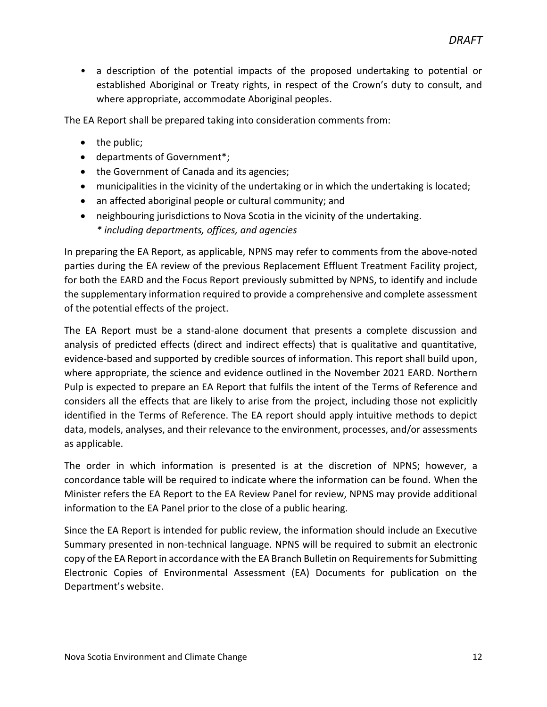• a description of the potential impacts of the proposed undertaking to potential or established Aboriginal or Treaty rights, in respect of the Crown's duty to consult, and where appropriate, accommodate Aboriginal peoples.

The EA Report shall be prepared taking into consideration comments from:

- the public;
- departments of Government\*;
- the Government of Canada and its agencies;
- municipalities in the vicinity of the undertaking or in which the undertaking is located;
- an affected aboriginal people or cultural community; and
- neighbouring jurisdictions to Nova Scotia in the vicinity of the undertaking. *\* including departments, offices, and agencies*

In preparing the EA Report, as applicable, NPNS may refer to comments from the above-noted parties during the EA review of the previous Replacement Effluent Treatment Facility project, for both the EARD and the Focus Report previously submitted by NPNS, to identify and include the supplementary information required to provide a comprehensive and complete assessment of the potential effects of the project.

The EA Report must be a stand-alone document that presents a complete discussion and analysis of predicted effects (direct and indirect effects) that is qualitative and quantitative, evidence-based and supported by credible sources of information. This report shall build upon, where appropriate, the science and evidence outlined in the November 2021 EARD. Northern Pulp is expected to prepare an EA Report that fulfils the intent of the Terms of Reference and considers all the effects that are likely to arise from the project, including those not explicitly identified in the Terms of Reference. The EA report should apply intuitive methods to depict data, models, analyses, and their relevance to the environment, processes, and/or assessments as applicable.

The order in which information is presented is at the discretion of NPNS; however, a concordance table will be required to indicate where the information can be found. When the Minister refers the EA Report to the EA Review Panel for review, NPNS may provide additional information to the EA Panel prior to the close of a public hearing.

Since the EA Report is intended for public review, the information should include an Executive Summary presented in non-technical language. NPNS will be required to submit an electronic copy of the EA Report in accordance with the EA Branch Bulletin on Requirements for Submitting Electronic Copies of Environmental Assessment (EA) Documents for publication on the Department's website.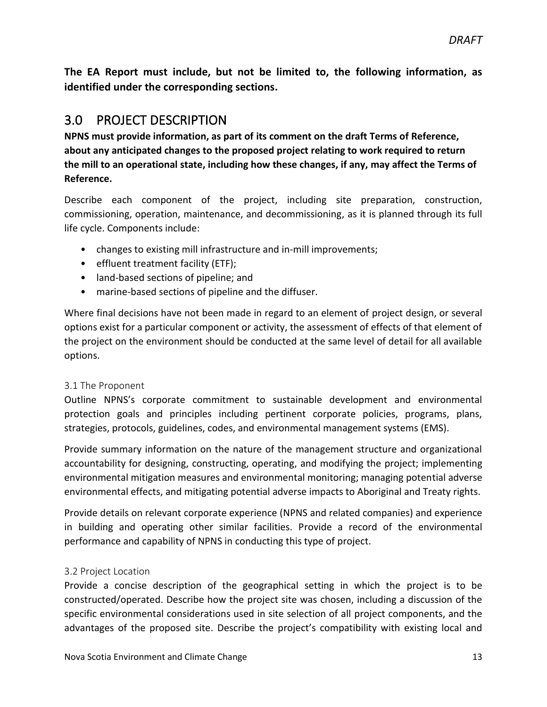**The EA Report must include, but not be limited to, the following information, as identified under the corresponding sections.**

### <span id="page-12-0"></span>3.0 PROJECT DESCRIPTION

**NPNS must provide information, as part of its comment on the draft Terms of Reference, about any anticipated changes to the proposed project relating to work required to return the mill to an operational state, including how these changes, if any, may affect the Terms of Reference.**

Describe each component of the project, including site preparation, construction, commissioning, operation, maintenance, and decommissioning, as it is planned through its full life cycle. Components include:

- changes to existing mill infrastructure and in-mill improvements;
- effluent treatment facility (ETF);
- land-based sections of pipeline; and
- marine-based sections of pipeline and the diffuser.

Where final decisions have not been made in regard to an element of project design, or several options exist for a particular component or activity, the assessment of effects of that element of the project on the environment should be conducted at the same level of detail for all available options.

#### <span id="page-12-1"></span>3.1 The Proponent

Outline NPNS's corporate commitment to sustainable development and environmental protection goals and principles including pertinent corporate policies, programs, plans, strategies, protocols, guidelines, codes, and environmental management systems (EMS).

Provide summary information on the nature of the management structure and organizational accountability for designing, constructing, operating, and modifying the project; implementing environmental mitigation measures and environmental monitoring; managing potential adverse environmental effects, and mitigating potential adverse impacts to Aboriginal and Treaty rights.

Provide details on relevant corporate experience (NPNS and related companies) and experience in building and operating other similar facilities. Provide a record of the environmental performance and capability of NPNS in conducting this type of project.

#### <span id="page-12-2"></span>3.2 Project Location

Provide a concise description of the geographical setting in which the project is to be constructed/operated. Describe how the project site was chosen, including a discussion of the specific environmental considerations used in site selection of all project components, and the advantages of the proposed site. Describe the project's compatibility with existing local and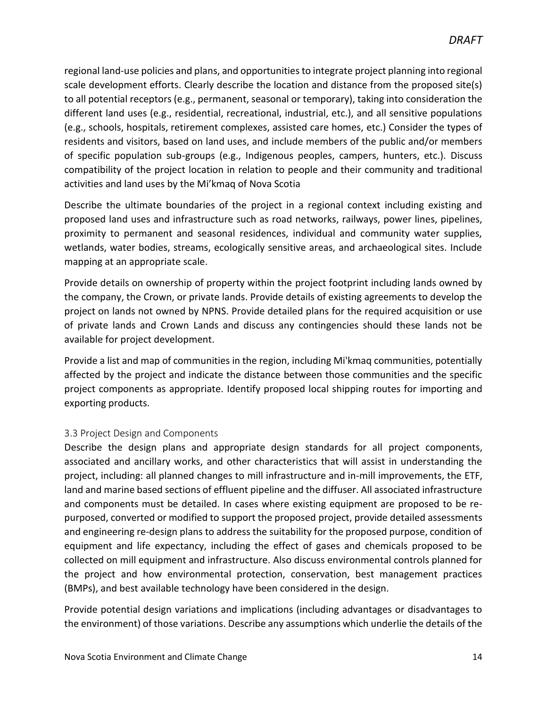regional land-use policies and plans, and opportunities to integrate project planning into regional scale development efforts. Clearly describe the location and distance from the proposed site(s) to all potential receptors (e.g., permanent, seasonal or temporary), taking into consideration the different land uses (e.g., residential, recreational, industrial, etc.), and all sensitive populations (e.g., schools, hospitals, retirement complexes, assisted care homes, etc.) Consider the types of residents and visitors, based on land uses, and include members of the public and/or members of specific population sub-groups (e.g., Indigenous peoples, campers, hunters, etc.). Discuss compatibility of the project location in relation to people and their community and traditional activities and land uses by the Mi'kmaq of Nova Scotia

Describe the ultimate boundaries of the project in a regional context including existing and proposed land uses and infrastructure such as road networks, railways, power lines, pipelines, proximity to permanent and seasonal residences, individual and community water supplies, wetlands, water bodies, streams, ecologically sensitive areas, and archaeological sites. Include mapping at an appropriate scale.

Provide details on ownership of property within the project footprint including lands owned by the company, the Crown, or private lands. Provide details of existing agreements to develop the project on lands not owned by NPNS. Provide detailed plans for the required acquisition or use of private lands and Crown Lands and discuss any contingencies should these lands not be available for project development.

Provide a list and map of communities in the region, including Mi'kmaq communities, potentially affected by the project and indicate the distance between those communities and the specific project components as appropriate. Identify proposed local shipping routes for importing and exporting products.

#### <span id="page-13-0"></span>3.3 Project Design and Components

Describe the design plans and appropriate design standards for all project components, associated and ancillary works, and other characteristics that will assist in understanding the project, including: all planned changes to mill infrastructure and in-mill improvements, the ETF, land and marine based sections of effluent pipeline and the diffuser. All associated infrastructure and components must be detailed. In cases where existing equipment are proposed to be repurposed, converted or modified to support the proposed project, provide detailed assessments and engineering re-design plans to address the suitability for the proposed purpose, condition of equipment and life expectancy, including the effect of gases and chemicals proposed to be collected on mill equipment and infrastructure. Also discuss environmental controls planned for the project and how environmental protection, conservation, best management practices (BMPs), and best available technology have been considered in the design.

Provide potential design variations and implications (including advantages or disadvantages to the environment) of those variations. Describe any assumptions which underlie the details of the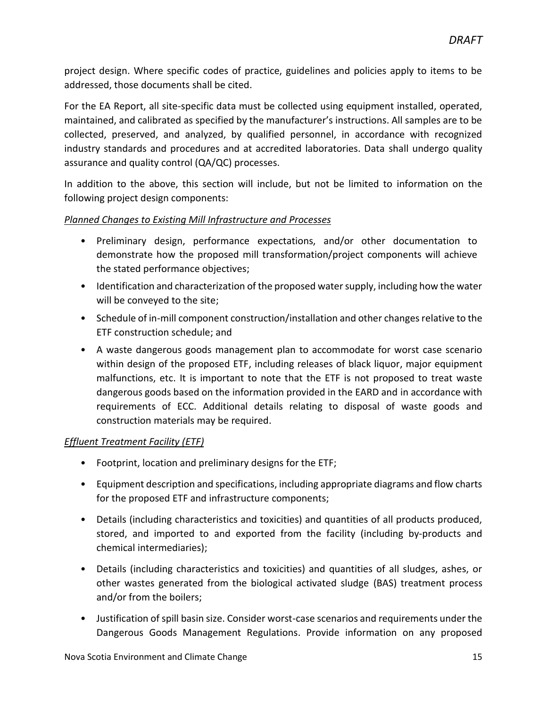project design. Where specific codes of practice, guidelines and policies apply to items to be addressed, those documents shall be cited.

For the EA Report, all site-specific data must be collected using equipment installed, operated, maintained, and calibrated as specified by the manufacturer's instructions. All samples are to be collected, preserved, and analyzed, by qualified personnel, in accordance with recognized industry standards and procedures and at accredited laboratories. Data shall undergo quality assurance and quality control (QA/QC) processes.

In addition to the above, this section will include, but not be limited to information on the following project design components:

#### *Planned Changes to Existing Mill Infrastructure and Processes*

- Preliminary design, performance expectations, and/or other documentation to demonstrate how the proposed mill transformation/project components will achieve the stated performance objectives;
- Identification and characterization of the proposed water supply, including how the water will be conveyed to the site;
- Schedule of in-mill component construction/installation and other changes relative to the ETF construction schedule; and
- A waste dangerous goods management plan to accommodate for worst case scenario within design of the proposed ETF, including releases of black liquor, major equipment malfunctions, etc. It is important to note that the ETF is not proposed to treat waste dangerous goods based on the information provided in the EARD and in accordance with requirements of ECC. Additional details relating to disposal of waste goods and construction materials may be required.

#### *Effluent Treatment Facility (ETF)*

- Footprint, location and preliminary designs for the ETF;
- Equipment description and specifications, including appropriate diagrams and flow charts for the proposed ETF and infrastructure components;
- Details (including characteristics and toxicities) and quantities of all products produced, stored, and imported to and exported from the facility (including by-products and chemical intermediaries);
- Details (including characteristics and toxicities) and quantities of all sludges, ashes, or other wastes generated from the biological activated sludge (BAS) treatment process and/or from the boilers;
- Justification of spill basin size. Consider worst-case scenarios and requirements under the Dangerous Goods Management Regulations. Provide information on any proposed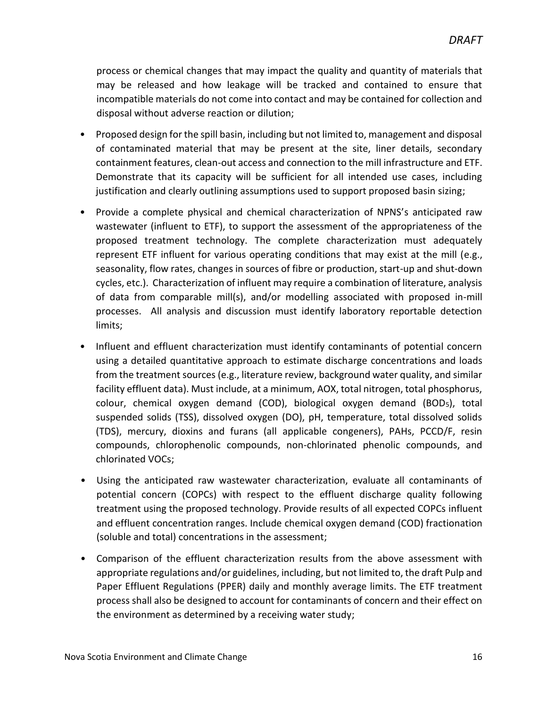process or chemical changes that may impact the quality and quantity of materials that may be released and how leakage will be tracked and contained to ensure that incompatible materials do not come into contact and may be contained for collection and disposal without adverse reaction or dilution;

- Proposed design for the spill basin, including but not limited to, management and disposal of contaminated material that may be present at the site, liner details, secondary containment features, clean-out access and connection to the mill infrastructure and ETF. Demonstrate that its capacity will be sufficient for all intended use cases, including justification and clearly outlining assumptions used to support proposed basin sizing;
- Provide a complete physical and chemical characterization of NPNS's anticipated raw wastewater (influent to ETF), to support the assessment of the appropriateness of the proposed treatment technology. The complete characterization must adequately represent ETF influent for various operating conditions that may exist at the mill (e.g., seasonality, flow rates, changes in sources of fibre or production, start-up and shut-down cycles, etc.). Characterization of influent may require a combination of literature, analysis of data from comparable mill(s), and/or modelling associated with proposed in-mill processes. All analysis and discussion must identify laboratory reportable detection limits;
- Influent and effluent characterization must identify contaminants of potential concern using a detailed quantitative approach to estimate discharge concentrations and loads from the treatment sources (e.g., literature review, background water quality, and similar facility effluent data). Must include, at a minimum, AOX, total nitrogen, total phosphorus, colour, chemical oxygen demand (COD), biological oxygen demand (BOD5), total suspended solids (TSS), dissolved oxygen (DO), pH, temperature, total dissolved solids (TDS), mercury, dioxins and furans (all applicable congeners), PAHs, PCCD/F, resin compounds, chlorophenolic compounds, non-chlorinated phenolic compounds, and chlorinated VOCs;
- Using the anticipated raw wastewater characterization, evaluate all contaminants of potential concern (COPCs) with respect to the effluent discharge quality following treatment using the proposed technology. Provide results of all expected COPCs influent and effluent concentration ranges. Include chemical oxygen demand (COD) fractionation (soluble and total) concentrations in the assessment;
- Comparison of the effluent characterization results from the above assessment with appropriate regulations and/or guidelines, including, but not limited to, the draft Pulp and Paper Effluent Regulations (PPER) daily and monthly average limits. The ETF treatment process shall also be designed to account for contaminants of concern and their effect on the environment as determined by a receiving water study;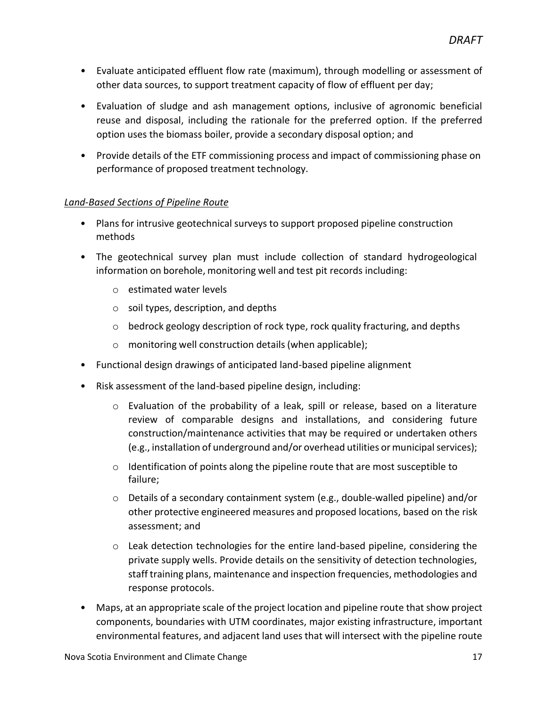- Evaluate anticipated effluent flow rate (maximum), through modelling or assessment of other data sources, to support treatment capacity of flow of effluent per day;
- Evaluation of sludge and ash management options, inclusive of agronomic beneficial reuse and disposal, including the rationale for the preferred option. If the preferred option uses the biomass boiler, provide a secondary disposal option; and
- Provide details of the ETF commissioning process and impact of commissioning phase on performance of proposed treatment technology.

#### *Land-Based Sections of Pipeline Route*

- Plans for intrusive geotechnical surveys to support proposed pipeline construction methods
- The geotechnical survey plan must include collection of standard hydrogeological information on borehole, monitoring well and test pit records including:
	- o estimated water levels
	- $\circ$  soil types, description, and depths
	- $\circ$  bedrock geology description of rock type, rock quality fracturing, and depths
	- o monitoring well construction details (when applicable);
- Functional design drawings of anticipated land-based pipeline alignment
- Risk assessment of the land-based pipeline design, including:
	- $\circ$  Evaluation of the probability of a leak, spill or release, based on a literature review of comparable designs and installations, and considering future construction/maintenance activities that may be required or undertaken others (e.g., installation of underground and/or overhead utilities ormunicipalservices);
	- o Identification of points along the pipeline route that are most susceptible to failure;
	- o Details of a secondary containment system (e.g., double-walled pipeline) and/or other protective engineered measures and proposed locations, based on the risk assessment; and
	- $\circ$  Leak detection technologies for the entire land-based pipeline, considering the private supply wells. Provide details on the sensitivity of detection technologies, staff training plans, maintenance and inspection frequencies, methodologies and response protocols.
- Maps, at an appropriate scale of the project location and pipeline route that show project components, boundaries with UTM coordinates, major existing infrastructure, important environmental features, and adjacent land uses that will intersect with the pipeline route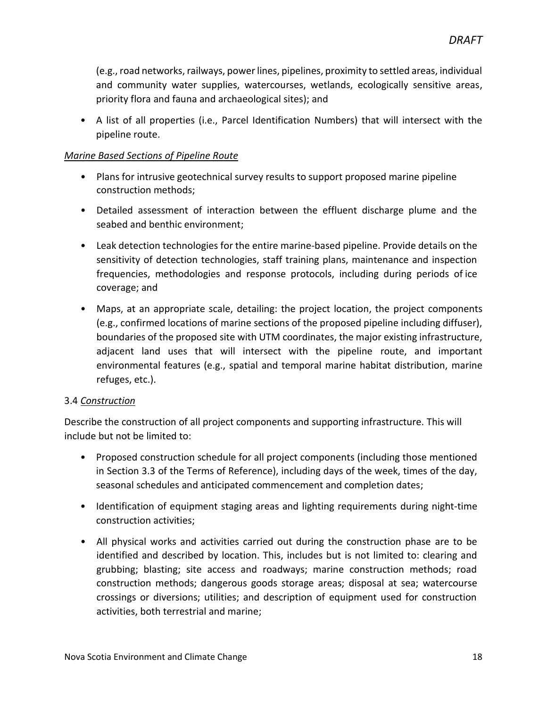(e.g., road networks, railways, power lines, pipelines, proximity to settled areas, individual and community water supplies, watercourses, wetlands, ecologically sensitive areas, priority flora and fauna and archaeological sites); and

• A list of all properties (i.e., Parcel Identification Numbers) that will intersect with the pipeline route.

#### *Marine Based Sections of Pipeline Route*

- Plans for intrusive geotechnical survey results to support proposed marine pipeline construction methods;
- Detailed assessment of interaction between the effluent discharge plume and the seabed and benthic environment;
- Leak detection technologies for the entire marine-based pipeline. Provide details on the sensitivity of detection technologies, staff training plans, maintenance and inspection frequencies, methodologies and response protocols, including during periods of ice coverage; and
- Maps, at an appropriate scale, detailing: the project location, the project components (e.g., confirmed locations of marine sections of the proposed pipeline including diffuser), boundaries of the proposed site with UTM coordinates, the major existing infrastructure, adjacent land uses that will intersect with the pipeline route, and important environmental features (e.g., spatial and temporal marine habitat distribution, marine refuges, etc.).

#### <span id="page-17-0"></span>3.4 *Construction*

Describe the construction of all project components and supporting infrastructure. This will include but not be limited to:

- Proposed construction schedule for all project components (including those mentioned in Section 3.3 of the Terms of Reference), including days of the week, times of the day, seasonal schedules and anticipated commencement and completion dates;
- Identification of equipment staging areas and lighting requirements during night-time construction activities;
- All physical works and activities carried out during the construction phase are to be identified and described by location. This, includes but is not limited to: clearing and grubbing; blasting; site access and roadways; marine construction methods; road construction methods; dangerous goods storage areas; disposal at sea; watercourse crossings or diversions; utilities; and description of equipment used for construction activities, both terrestrial and marine;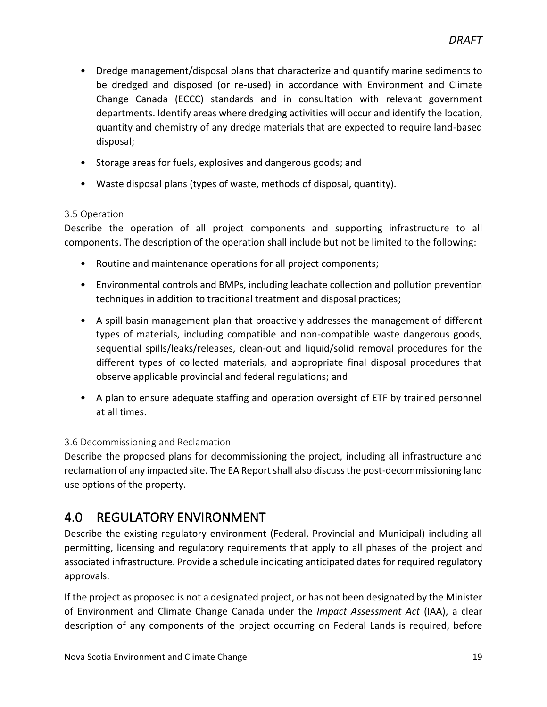- Dredge management/disposal plans that characterize and quantify marine sediments to be dredged and disposed (or re-used) in accordance with Environment and Climate Change Canada (ECCC) standards and in consultation with relevant government departments. Identify areas where dredging activities will occur and identify the location, quantity and chemistry of any dredge materials that are expected to require land-based disposal;
- Storage areas for fuels, explosives and dangerous goods; and
- Waste disposal plans (types of waste, methods of disposal, quantity).

#### <span id="page-18-0"></span>3.5 Operation

Describe the operation of all project components and supporting infrastructure to all components. The description of the operation shall include but not be limited to the following:

- Routine and maintenance operations for all project components;
- Environmental controls and BMPs, including leachate collection and pollution prevention techniques in addition to traditional treatment and disposal practices;
- A spill basin management plan that proactively addresses the management of different types of materials, including compatible and non-compatible waste dangerous goods, sequential spills/leaks/releases, clean-out and liquid/solid removal procedures for the different types of collected materials, and appropriate final disposal procedures that observe applicable provincial and federal regulations; and
- A plan to ensure adequate staffing and operation oversight of ETF by trained personnel at all times.

#### <span id="page-18-1"></span>3.6 Decommissioning and Reclamation

Describe the proposed plans for decommissioning the project, including all infrastructure and reclamation of any impacted site. The EA Report shall also discuss the post-decommissioning land use options of the property.

### <span id="page-18-2"></span>4.0 REGULATORY ENVIRONMENT

Describe the existing regulatory environment (Federal, Provincial and Municipal) including all permitting, licensing and regulatory requirements that apply to all phases of the project and associated infrastructure. Provide a schedule indicating anticipated dates for required regulatory approvals.

If the project as proposed is not a designated project, or has not been designated by the Minister of Environment and Climate Change Canada under the *Impact Assessment Act* (IAA), a clear description of any components of the project occurring on Federal Lands is required, before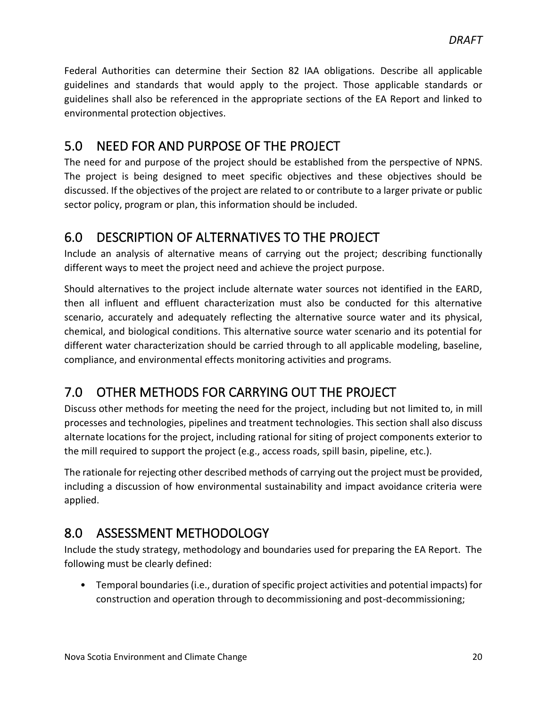Federal Authorities can determine their Section 82 IAA obligations. Describe all applicable guidelines and standards that would apply to the project. Those applicable standards or guidelines shall also be referenced in the appropriate sections of the EA Report and linked to environmental protection objectives.

### <span id="page-19-0"></span>5.0 NEED FOR AND PURPOSE OF THE PROJECT

The need for and purpose of the project should be established from the perspective of NPNS. The project is being designed to meet specific objectives and these objectives should be discussed. If the objectives of the project are related to or contribute to a larger private or public sector policy, program or plan, this information should be included.

### <span id="page-19-1"></span>6.0 DESCRIPTION OF ALTERNATIVES TO THE PROJECT

Include an analysis of alternative means of carrying out the project; describing functionally different ways to meet the project need and achieve the project purpose.

Should alternatives to the project include alternate water sources not identified in the EARD, then all influent and effluent characterization must also be conducted for this alternative scenario, accurately and adequately reflecting the alternative source water and its physical, chemical, and biological conditions. This alternative source water scenario and its potential for different water characterization should be carried through to all applicable modeling, baseline, compliance, and environmental effects monitoring activities and programs.

# <span id="page-19-2"></span>7.0 OTHER METHODS FOR CARRYING OUT THE PROJECT

Discuss other methods for meeting the need for the project, including but not limited to, in mill processes and technologies, pipelines and treatment technologies. This section shall also discuss alternate locations for the project, including rational for siting of project components exterior to the mill required to support the project (e.g., access roads, spill basin, pipeline, etc.).

The rationale for rejecting other described methods of carrying out the project must be provided, including a discussion of how environmental sustainability and impact avoidance criteria were applied.

# <span id="page-19-3"></span>8.0 ASSESSMENT METHODOLOGY

Include the study strategy, methodology and boundaries used for preparing the EA Report. The following must be clearly defined:

• Temporal boundaries (i.e., duration of specific project activities and potential impacts) for construction and operation through to decommissioning and post-decommissioning;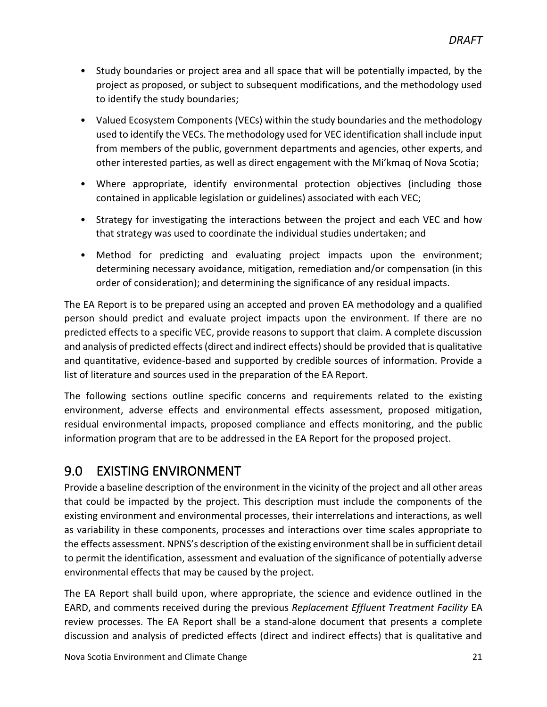- Study boundaries or project area and all space that will be potentially impacted, by the project as proposed, or subject to subsequent modifications, and the methodology used to identify the study boundaries;
- Valued Ecosystem Components (VECs) within the study boundaries and the methodology used to identify the VECs. The methodology used for VEC identification shall include input from members of the public, government departments and agencies, other experts, and other interested parties, as well as direct engagement with the Mi'kmaq of Nova Scotia;
- Where appropriate, identify environmental protection objectives (including those contained in applicable legislation or guidelines) associated with each VEC;
- Strategy for investigating the interactions between the project and each VEC and how that strategy was used to coordinate the individual studies undertaken; and
- Method for predicting and evaluating project impacts upon the environment; determining necessary avoidance, mitigation, remediation and/or compensation (in this order of consideration); and determining the significance of any residual impacts.

The EA Report is to be prepared using an accepted and proven EA methodology and a qualified person should predict and evaluate project impacts upon the environment. If there are no predicted effects to a specific VEC, provide reasons to support that claim. A complete discussion and analysis of predicted effects (direct and indirect effects) should be provided that is qualitative and quantitative, evidence-based and supported by credible sources of information. Provide a list of literature and sources used in the preparation of the EA Report.

The following sections outline specific concerns and requirements related to the existing environment, adverse effects and environmental effects assessment, proposed mitigation, residual environmental impacts, proposed compliance and effects monitoring, and the public information program that are to be addressed in the EA Report for the proposed project.

### <span id="page-20-0"></span>9.0 EXISTING ENVIRONMENT

Provide a baseline description of the environment in the vicinity of the project and all other areas that could be impacted by the project. This description must include the components of the existing environment and environmental processes, their interrelations and interactions, as well as variability in these components, processes and interactions over time scales appropriate to the effects assessment. NPNS's description of the existing environment shall be in sufficient detail to permit the identification, assessment and evaluation of the significance of potentially adverse environmental effects that may be caused by the project.

The EA Report shall build upon, where appropriate, the science and evidence outlined in the EARD, and comments received during the previous *Replacement Effluent Treatment Facility* EA review processes. The EA Report shall be a stand-alone document that presents a complete discussion and analysis of predicted effects (direct and indirect effects) that is qualitative and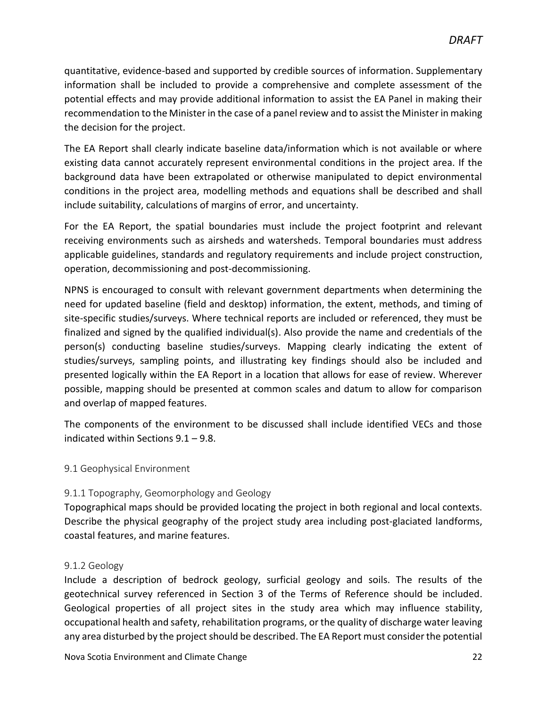quantitative, evidence-based and supported by credible sources of information. Supplementary information shall be included to provide a comprehensive and complete assessment of the potential effects and may provide additional information to assist the EA Panel in making their recommendation to the Minister in the case of a panel review and to assist the Minister in making the decision for the project.

The EA Report shall clearly indicate baseline data/information which is not available or where existing data cannot accurately represent environmental conditions in the project area. If the background data have been extrapolated or otherwise manipulated to depict environmental conditions in the project area, modelling methods and equations shall be described and shall include suitability, calculations of margins of error, and uncertainty.

For the EA Report, the spatial boundaries must include the project footprint and relevant receiving environments such as airsheds and watersheds. Temporal boundaries must address applicable guidelines, standards and regulatory requirements and include project construction, operation, decommissioning and post-decommissioning.

NPNS is encouraged to consult with relevant government departments when determining the need for updated baseline (field and desktop) information, the extent, methods, and timing of site-specific studies/surveys. Where technical reports are included or referenced, they must be finalized and signed by the qualified individual(s). Also provide the name and credentials of the person(s) conducting baseline studies/surveys. Mapping clearly indicating the extent of studies/surveys, sampling points, and illustrating key findings should also be included and presented logically within the EA Report in a location that allows for ease of review. Wherever possible, mapping should be presented at common scales and datum to allow for comparison and overlap of mapped features.

The components of the environment to be discussed shall include identified VECs and those indicated within Sections 9.1 – 9.8.

#### <span id="page-21-0"></span>9.1 Geophysical Environment

#### <span id="page-21-1"></span>9.1.1 Topography, Geomorphology and Geology

Topographical maps should be provided locating the project in both regional and local contexts. Describe the physical geography of the project study area including post-glaciated landforms, coastal features, and marine features.

#### <span id="page-21-2"></span>9.1.2 Geology

Include a description of bedrock geology, surficial geology and soils. The results of the geotechnical survey referenced in Section 3 of the Terms of Reference should be included. Geological properties of all project sites in the study area which may influence stability, occupational health and safety, rehabilitation programs, or the quality of discharge water leaving any area disturbed by the project should be described. The EA Report must consider the potential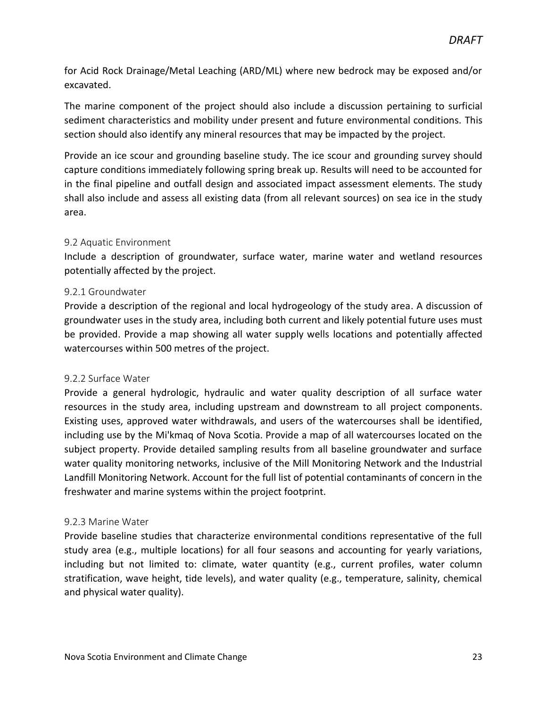for Acid Rock Drainage/Metal Leaching (ARD/ML) where new bedrock may be exposed and/or excavated.

The marine component of the project should also include a discussion pertaining to surficial sediment characteristics and mobility under present and future environmental conditions. This section should also identify any mineral resources that may be impacted by the project.

Provide an ice scour and grounding baseline study. The ice scour and grounding survey should capture conditions immediately following spring break up. Results will need to be accounted for in the final pipeline and outfall design and associated impact assessment elements. The study shall also include and assess all existing data (from all relevant sources) on sea ice in the study area.

#### <span id="page-22-0"></span>9.2 Aquatic Environment

Include a description of groundwater, surface water, marine water and wetland resources potentially affected by the project.

#### <span id="page-22-1"></span>9.2.1 Groundwater

Provide a description of the regional and local hydrogeology of the study area. A discussion of groundwater uses in the study area, including both current and likely potential future uses must be provided. Provide a map showing all water supply wells locations and potentially affected watercourses within 500 metres of the project.

#### <span id="page-22-2"></span>9.2.2 Surface Water

Provide a general hydrologic, hydraulic and water quality description of all surface water resources in the study area, including upstream and downstream to all project components. Existing uses, approved water withdrawals, and users of the watercourses shall be identified, including use by the Mi'kmaq of Nova Scotia. Provide a map of all watercourses located on the subject property. Provide detailed sampling results from all baseline groundwater and surface water quality monitoring networks, inclusive of the Mill Monitoring Network and the Industrial Landfill Monitoring Network. Account for the full list of potential contaminants of concern in the freshwater and marine systems within the project footprint.

#### <span id="page-22-3"></span>9.2.3 Marine Water

Provide baseline studies that characterize environmental conditions representative of the full study area (e.g., multiple locations) for all four seasons and accounting for yearly variations, including but not limited to: climate, water quantity (e.g., current profiles, water column stratification, wave height, tide levels), and water quality (e.g., temperature, salinity, chemical and physical water quality).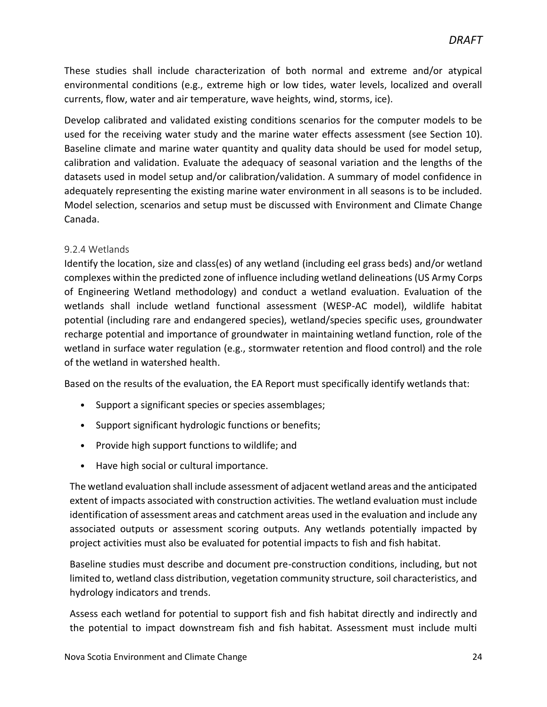These studies shall include characterization of both normal and extreme and/or atypical environmental conditions (e.g., extreme high or low tides, water levels, localized and overall currents, flow, water and air temperature, wave heights, wind, storms, ice).

Develop calibrated and validated existing conditions scenarios for the computer models to be used for the receiving water study and the marine water effects assessment (see Section 10). Baseline climate and marine water quantity and quality data should be used for model setup, calibration and validation. Evaluate the adequacy of seasonal variation and the lengths of the datasets used in model setup and/or calibration/validation. A summary of model confidence in adequately representing the existing marine water environment in all seasons is to be included. Model selection, scenarios and setup must be discussed with Environment and Climate Change Canada.

#### <span id="page-23-0"></span>9.2.4 Wetlands

Identify the location, size and class(es) of any wetland (including eel grass beds) and/or wetland complexes within the predicted zone of influence including wetland delineations (US Army Corps of Engineering Wetland methodology) and conduct a wetland evaluation. Evaluation of the wetlands shall include wetland functional assessment (WESP-AC model), wildlife habitat potential (including rare and endangered species), wetland/species specific uses, groundwater recharge potential and importance of groundwater in maintaining wetland function, role of the wetland in surface water regulation (e.g., stormwater retention and flood control) and the role of the wetland in watershed health.

Based on the results of the evaluation, the EA Report must specifically identify wetlands that:

- Support a significant species or species assemblages;
- Support significant hydrologic functions or benefits;
- Provide high support functions to wildlife; and
- Have high social or cultural importance.

The wetland evaluation shall include assessment of adjacent wetland areas and the anticipated extent of impacts associated with construction activities. The wetland evaluation must include identification of assessment areas and catchment areas used in the evaluation and include any associated outputs or assessment scoring outputs. Any wetlands potentially impacted by project activities must also be evaluated for potential impacts to fish and fish habitat.

Baseline studies must describe and document pre-construction conditions, including, but not limited to, wetland class distribution, vegetation community structure, soil characteristics, and hydrology indicators and trends.

Assess each wetland for potential to support fish and fish habitat directly and indirectly and the potential to impact downstream fish and fish habitat. Assessment must include multi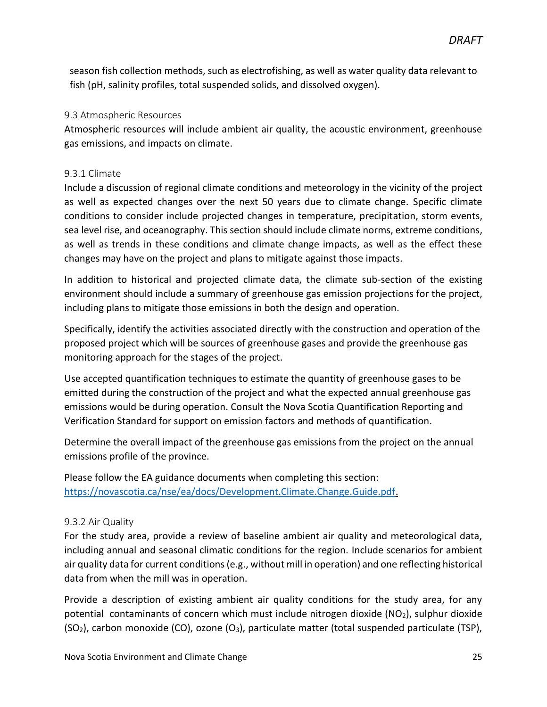season fish collection methods, such as electrofishing, as well as water quality data relevant to fish (pH, salinity profiles, total suspended solids, and dissolved oxygen).

#### <span id="page-24-0"></span>9.3 Atmospheric Resources

Atmospheric resources will include ambient air quality, the acoustic environment, greenhouse gas emissions, and impacts on climate.

#### <span id="page-24-1"></span>9.3.1 Climate

Include a discussion of regional climate conditions and meteorology in the vicinity of the project as well as expected changes over the next 50 years due to climate change. Specific climate conditions to consider include projected changes in temperature, precipitation, storm events, sea level rise, and oceanography. This section should include climate norms, extreme conditions, as well as trends in these conditions and climate change impacts, as well as the effect these changes may have on the project and plans to mitigate against those impacts.

In addition to historical and projected climate data, the climate sub-section of the existing environment should include a summary of greenhouse gas emission projections for the project, including plans to mitigate those emissions in both the design and operation.

Specifically, identify the activities associated directly with the construction and operation of the proposed project which will be sources of greenhouse gases and provide the greenhouse gas monitoring approach for the stages of the project.

Use accepted quantification techniques to estimate the quantity of greenhouse gases to be emitted during the construction of the project and what the expected annual greenhouse gas emissions would be during operation. Consult the Nova Scotia Quantification Reporting and Verification Standard for support on emission factors and methods of quantification.

Determine the overall impact of the greenhouse gas emissions from the project on the annual emissions profile of the province.

Please follow the EA guidance documents when completing this section: [https://novascotia.ca/nse/ea/docs/Development.Climate.Change.Guide.pdf.](https://novascotia.ca/nse/ea/docs/Development.Climate.Change.Guide.pdf)

#### <span id="page-24-2"></span>9.3.2 Air Quality

For the study area, provide a review of baseline ambient air quality and meteorological data, including annual and seasonal climatic conditions for the region. Include scenarios for ambient air quality data for current conditions (e.g., without mill in operation) and one reflecting historical data from when the mill was in operation.

Provide a description of existing ambient air quality conditions for the study area, for any potential contaminants of concern which must include nitrogen dioxide ( $NO<sub>2</sub>$ ), sulphur dioxide  $(SO<sub>2</sub>)$ , carbon monoxide (CO), ozone  $(O<sub>3</sub>)$ , particulate matter (total suspended particulate (TSP),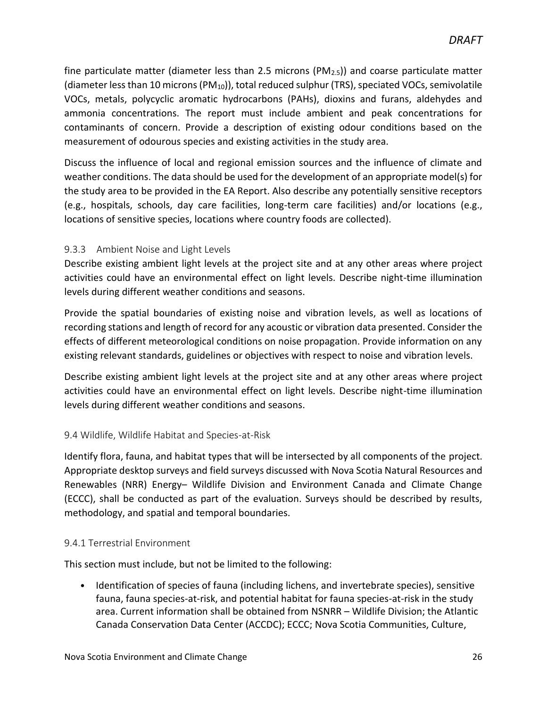fine particulate matter (diameter less than 2.5 microns ( $PM_{2.5}$ )) and coarse particulate matter (diameter less than 10 microns (PM10)), total reduced sulphur (TRS), speciated VOCs, semivolatile VOCs, metals, polycyclic aromatic hydrocarbons (PAHs), dioxins and furans, aldehydes and ammonia concentrations. The report must include ambient and peak concentrations for contaminants of concern. Provide a description of existing odour conditions based on the measurement of odourous species and existing activities in the study area.

Discuss the influence of local and regional emission sources and the influence of climate and weather conditions. The data should be used for the development of an appropriate model(s) for the study area to be provided in the EA Report. Also describe any potentially sensitive receptors (e.g., hospitals, schools, day care facilities, long-term care facilities) and/or locations (e.g., locations of sensitive species, locations where country foods are collected).

#### <span id="page-25-0"></span>9.3.3 Ambient Noise and Light Levels

Describe existing ambient light levels at the project site and at any other areas where project activities could have an environmental effect on light levels. Describe night-time illumination levels during different weather conditions and seasons.

Provide the spatial boundaries of existing noise and vibration levels, as well as locations of recording stations and length of record for any acoustic or vibration data presented. Consider the effects of different meteorological conditions on noise propagation. Provide information on any existing relevant standards, guidelines or objectives with respect to noise and vibration levels.

Describe existing ambient light levels at the project site and at any other areas where project activities could have an environmental effect on light levels. Describe night-time illumination levels during different weather conditions and seasons.

#### 9.4 Wildlife, Wildlife Habitat and Species-at-Risk

Identify flora, fauna, and habitat types that will be intersected by all components of the project. Appropriate desktop surveys and field surveys discussed with Nova Scotia Natural Resources and Renewables (NRR) Energy– Wildlife Division and Environment Canada and Climate Change (ECCC), shall be conducted as part of the evaluation. Surveys should be described by results, methodology, and spatial and temporal boundaries.

#### 9.4.1 Terrestrial Environment

This section must include, but not be limited to the following:

• Identification of species of fauna (including lichens, and invertebrate species), sensitive fauna, fauna species-at-risk, and potential habitat for fauna species-at-risk in the study area. Current information shall be obtained from NSNRR – Wildlife Division; the Atlantic Canada Conservation Data Center (ACCDC); ECCC; Nova Scotia Communities, Culture,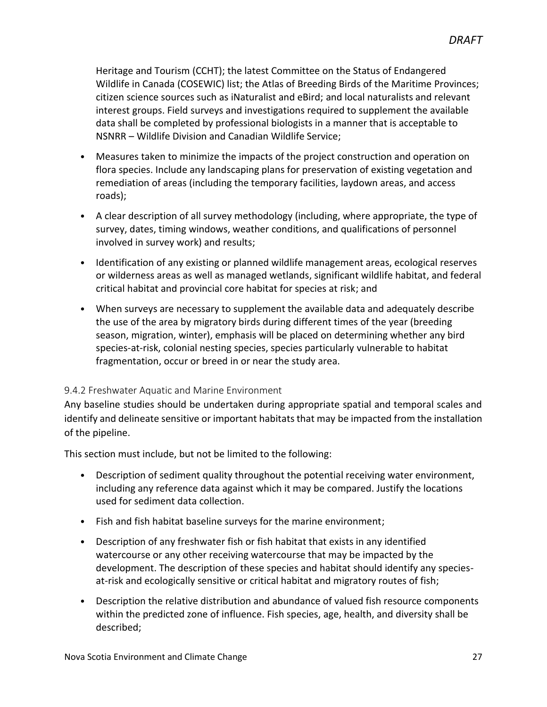Heritage and Tourism (CCHT); the latest Committee on the Status of Endangered Wildlife in Canada (COSEWIC) list; the Atlas of Breeding Birds of the Maritime Provinces; citizen science sources such as iNaturalist and eBird; and local naturalists and relevant interest groups. Field surveys and investigations required to supplement the available data shall be completed by professional biologists in a manner that is acceptable to NSNRR – Wildlife Division and Canadian Wildlife Service;

- Measures taken to minimize the impacts of the project construction and operation on flora species. Include any landscaping plans for preservation of existing vegetation and remediation of areas (including the temporary facilities, laydown areas, and access roads);
- A clear description of all survey methodology (including, where appropriate, the type of survey, dates, timing windows, weather conditions, and qualifications of personnel involved in survey work) and results;
- Identification of any existing or planned wildlife management areas, ecological reserves or wilderness areas as well as managed wetlands, significant wildlife habitat, and federal critical habitat and provincial core habitat for species at risk; and
- When surveys are necessary to supplement the available data and adequately describe the use of the area by migratory birds during different times of the year (breeding season, migration, winter), emphasis will be placed on determining whether any bird species-at-risk, colonial nesting species, species particularly vulnerable to habitat fragmentation, occur or breed in or near the study area.

#### <span id="page-26-0"></span>9.4.2 Freshwater Aquatic and Marine Environment

Any baseline studies should be undertaken during appropriate spatial and temporal scales and identify and delineate sensitive or important habitats that may be impacted from the installation of the pipeline.

This section must include, but not be limited to the following:

- Description of sediment quality throughout the potential receiving water environment, including any reference data against which it may be compared. Justify the locations used for sediment data collection.
- Fish and fish habitat baseline surveys for the marine environment;
- Description of any freshwater fish or fish habitat that exists in any identified watercourse or any other receiving watercourse that may be impacted by the development. The description of these species and habitat should identify any speciesat-risk and ecologically sensitive or critical habitat and migratory routes of fish;
- Description the relative distribution and abundance of valued fish resource components within the predicted zone of influence. Fish species, age, health, and diversity shall be described;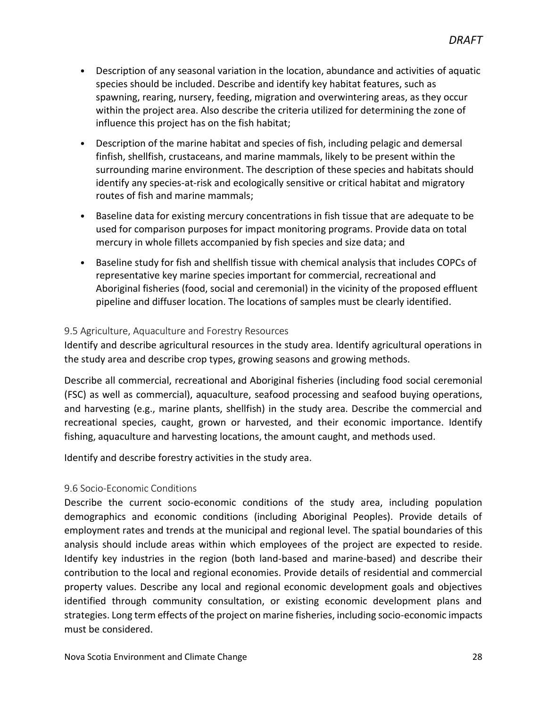- Description of any seasonal variation in the location, abundance and activities of aquatic species should be included. Describe and identify key habitat features, such as spawning, rearing, nursery, feeding, migration and overwintering areas, as they occur within the project area. Also describe the criteria utilized for determining the zone of influence this project has on the fish habitat;
- Description of the marine habitat and species of fish, including pelagic and demersal finfish, shellfish, crustaceans, and marine mammals, likely to be present within the surrounding marine environment. The description of these species and habitats should identify any species-at-risk and ecologically sensitive or critical habitat and migratory routes of fish and marine mammals;
- Baseline data for existing mercury concentrations in fish tissue that are adequate to be used for comparison purposes for impact monitoring programs. Provide data on total mercury in whole fillets accompanied by fish species and size data; and
- Baseline study for fish and shellfish tissue with chemical analysis that includes COPCs of representative key marine species important for commercial, recreational and Aboriginal fisheries (food, social and ceremonial) in the vicinity of the proposed effluent pipeline and diffuser location. The locations of samples must be clearly identified.

#### <span id="page-27-0"></span>9.5 Agriculture, Aquaculture and Forestry Resources

Identify and describe agricultural resources in the study area. Identify agricultural operations in the study area and describe crop types, growing seasons and growing methods.

Describe all commercial, recreational and Aboriginal fisheries (including food social ceremonial (FSC) as well as commercial), aquaculture, seafood processing and seafood buying operations, and harvesting (e.g., marine plants, shellfish) in the study area. Describe the commercial and recreational species, caught, grown or harvested, and their economic importance. Identify fishing, aquaculture and harvesting locations, the amount caught, and methods used.

Identify and describe forestry activities in the study area.

#### <span id="page-27-1"></span>9.6 Socio-Economic Conditions

Describe the current socio-economic conditions of the study area, including population demographics and economic conditions (including Aboriginal Peoples). Provide details of employment rates and trends at the municipal and regional level. The spatial boundaries of this analysis should include areas within which employees of the project are expected to reside. Identify key industries in the region (both land-based and marine-based) and describe their contribution to the local and regional economies. Provide details of residential and commercial property values. Describe any local and regional economic development goals and objectives identified through community consultation, or existing economic development plans and strategies. Long term effects of the project on marine fisheries, including socio-economic impacts must be considered.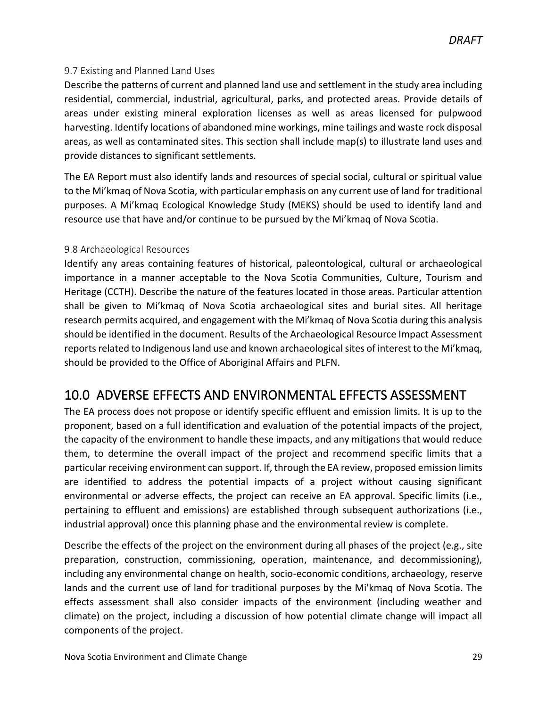#### <span id="page-28-0"></span>9.7 Existing and Planned Land Uses

Describe the patterns of current and planned land use and settlement in the study area including residential, commercial, industrial, agricultural, parks, and protected areas. Provide details of areas under existing mineral exploration licenses as well as areas licensed for pulpwood harvesting. Identify locations of abandoned mine workings, mine tailings and waste rock disposal areas, as well as contaminated sites. This section shall include map(s) to illustrate land uses and provide distances to significant settlements.

The EA Report must also identify lands and resources of special social, cultural or spiritual value to the Mi'kmaq of Nova Scotia, with particular emphasis on any current use of land for traditional purposes. A Mi'kmaq Ecological Knowledge Study (MEKS) should be used to identify land and resource use that have and/or continue to be pursued by the Mi'kmaq of Nova Scotia.

#### <span id="page-28-1"></span>9.8 Archaeological Resources

Identify any areas containing features of historical, paleontological, cultural or archaeological importance in a manner acceptable to the Nova Scotia Communities, Culture, Tourism and Heritage (CCTH). Describe the nature of the features located in those areas. Particular attention shall be given to Mi'kmaq of Nova Scotia archaeological sites and burial sites. All heritage research permits acquired, and engagement with the Mi'kmaq of Nova Scotia during this analysis should be identified in the document. Results of the Archaeological Resource Impact Assessment reports related to Indigenous land use and known archaeological sites of interest to the Mi'kmaq, should be provided to the Office of Aboriginal Affairs and PLFN.

### <span id="page-28-2"></span>10.0 ADVERSE EFFECTS AND ENVIRONMENTAL EFFECTS ASSESSMENT

The EA process does not propose or identify specific effluent and emission limits. It is up to the proponent, based on a full identification and evaluation of the potential impacts of the project, the capacity of the environment to handle these impacts, and any mitigations that would reduce them, to determine the overall impact of the project and recommend specific limits that a particular receiving environment can support. If, through the EA review, proposed emission limits are identified to address the potential impacts of a project without causing significant environmental or adverse effects, the project can receive an EA approval. Specific limits (i.e., pertaining to effluent and emissions) are established through subsequent authorizations (i.e., industrial approval) once this planning phase and the environmental review is complete.

Describe the effects of the project on the environment during all phases of the project (e.g., site preparation, construction, commissioning, operation, maintenance, and decommissioning), including any environmental change on health, socio-economic conditions, archaeology, reserve lands and the current use of land for traditional purposes by the Mi'kmaq of Nova Scotia. The effects assessment shall also consider impacts of the environment (including weather and climate) on the project, including a discussion of how potential climate change will impact all components of the project.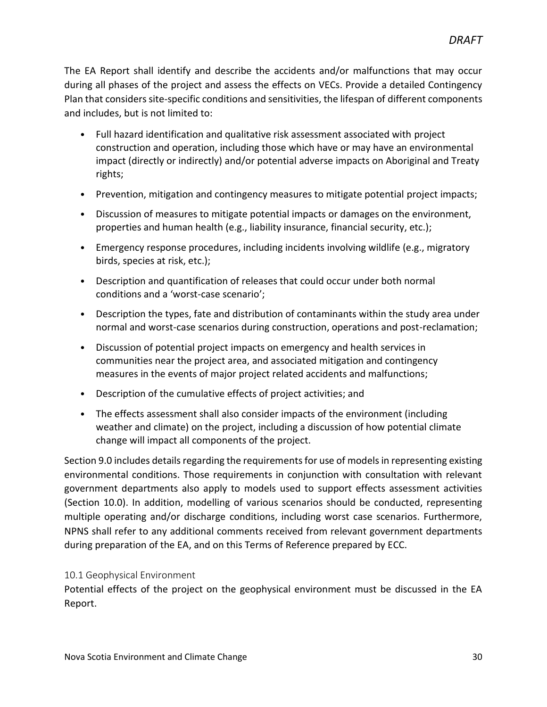The EA Report shall identify and describe the accidents and/or malfunctions that may occur during all phases of the project and assess the effects on VECs. Provide a detailed Contingency Plan that considers site-specific conditions and sensitivities, the lifespan of different components and includes, but is not limited to:

- Full hazard identification and qualitative risk assessment associated with project construction and operation, including those which have or may have an environmental impact (directly or indirectly) and/or potential adverse impacts on Aboriginal and Treaty rights;
- Prevention, mitigation and contingency measures to mitigate potential project impacts;
- Discussion of measures to mitigate potential impacts or damages on the environment, properties and human health (e.g., liability insurance, financial security, etc.);
- Emergency response procedures, including incidents involving wildlife (e.g., migratory birds, species at risk, etc.);
- Description and quantification of releases that could occur under both normal conditions and a 'worst-case scenario';
- Description the types, fate and distribution of contaminants within the study area under normal and worst-case scenarios during construction, operations and post-reclamation;
- Discussion of potential project impacts on emergency and health services in communities near the project area, and associated mitigation and contingency measures in the events of major project related accidents and malfunctions;
- Description of the cumulative effects of project activities; and
- The effects assessment shall also consider impacts of the environment (including weather and climate) on the project, including a discussion of how potential climate change will impact all components of the project.

Section 9.0 includes details regarding the requirements for use of models in representing existing environmental conditions. Those requirements in conjunction with consultation with relevant government departments also apply to models used to support effects assessment activities (Section 10.0). In addition, modelling of various scenarios should be conducted, representing multiple operating and/or discharge conditions, including worst case scenarios. Furthermore, NPNS shall refer to any additional comments received from relevant government departments during preparation of the EA, and on this Terms of Reference prepared by ECC.

#### <span id="page-29-0"></span>10.1 Geophysical Environment

Potential effects of the project on the geophysical environment must be discussed in the EA Report.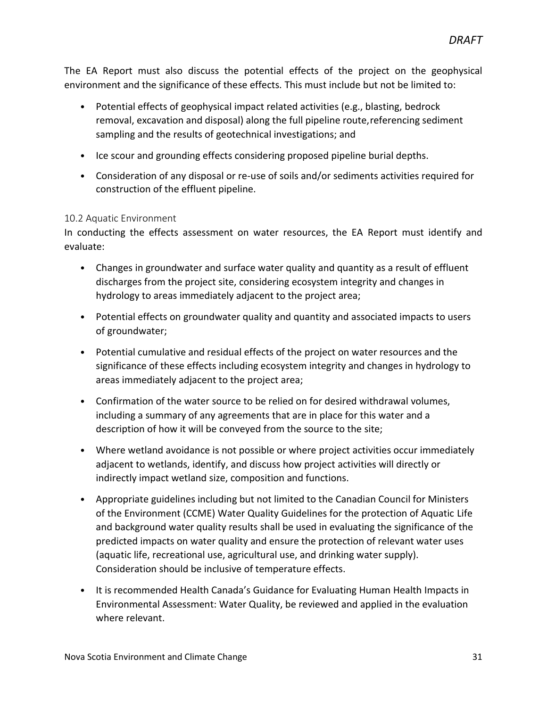The EA Report must also discuss the potential effects of the project on the geophysical environment and the significance of these effects. This must include but not be limited to:

- Potential effects of geophysical impact related activities (e.g., blasting, bedrock removal, excavation and disposal) along the full pipeline route,referencing sediment sampling and the results of geotechnical investigations; and
- Ice scour and grounding effects considering proposed pipeline burial depths.
- Consideration of any disposal or re-use of soils and/or sediments activities required for construction of the effluent pipeline.

#### <span id="page-30-0"></span>10.2 Aquatic Environment

In conducting the effects assessment on water resources, the EA Report must identify and evaluate:

- Changes in groundwater and surface water quality and quantity as a result of effluent discharges from the project site, considering ecosystem integrity and changes in hydrology to areas immediately adjacent to the project area;
- Potential effects on groundwater quality and quantity and associated impacts to users of groundwater;
- Potential cumulative and residual effects of the project on water resources and the significance of these effects including ecosystem integrity and changes in hydrology to areas immediately adjacent to the project area;
- Confirmation of the water source to be relied on for desired withdrawal volumes, including a summary of any agreements that are in place for this water and a description of how it will be conveyed from the source to the site;
- Where wetland avoidance is not possible or where project activities occur immediately adjacent to wetlands, identify, and discuss how project activities will directly or indirectly impact wetland size, composition and functions.
- Appropriate guidelines including but not limited to the Canadian Council for Ministers of the Environment (CCME) Water Quality Guidelines for the protection of Aquatic Life and background water quality results shall be used in evaluating the significance of the predicted impacts on water quality and ensure the protection of relevant water uses (aquatic life, recreational use, agricultural use, and drinking water supply). Consideration should be inclusive of temperature effects.
- It is recommended Health Canada's Guidance for Evaluating Human Health Impacts in Environmental Assessment: Water Quality, be reviewed and applied in the evaluation where relevant.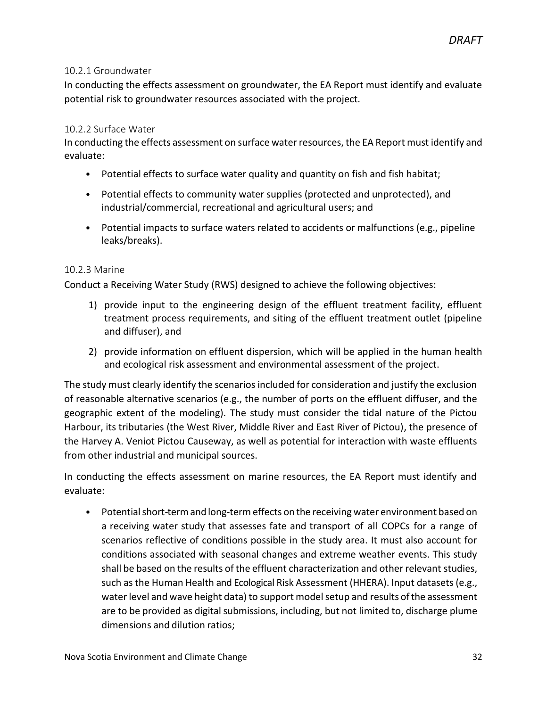#### <span id="page-31-0"></span>10.2.1 Groundwater

In conducting the effects assessment on groundwater, the EA Report must identify and evaluate potential risk to groundwater resources associated with the project.

#### 10.2.2 Surface Water

In conducting the effects assessment on surface water resources, the EA Report must identify and evaluate:

- Potential effects to surface water quality and quantity on fish and fish habitat;
- Potential effects to community water supplies (protected and unprotected), and industrial/commercial, recreational and agricultural users; and
- Potential impacts to surface waters related to accidents or malfunctions (e.g., pipeline leaks/breaks).

#### <span id="page-31-1"></span>10.2.3 Marine

Conduct a Receiving Water Study (RWS) designed to achieve the following objectives:

- 1) provide input to the engineering design of the effluent treatment facility, effluent treatment process requirements, and siting of the effluent treatment outlet (pipeline and diffuser), and
- 2) provide information on effluent dispersion, which will be applied in the human health and ecological risk assessment and environmental assessment of the project.

The study must clearly identify the scenarios included for consideration and justify the exclusion of reasonable alternative scenarios (e.g., the number of ports on the effluent diffuser, and the geographic extent of the modeling). The study must consider the tidal nature of the Pictou Harbour, its tributaries (the West River, Middle River and East River of Pictou), the presence of the Harvey A. Veniot Pictou Causeway, as well as potential for interaction with waste effluents from other industrial and municipal sources.

In conducting the effects assessment on marine resources, the EA Report must identify and evaluate:

• Potential short-term and long-term effects on the receiving water environment based on a receiving water study that assesses fate and transport of all COPCs for a range of scenarios reflective of conditions possible in the study area. It must also account for conditions associated with seasonal changes and extreme weather events. This study shall be based on the results of the effluent characterization and other relevant studies, such asthe Human Health and Ecological Risk Assessment (HHERA). Input datasets(e.g., water level and wave height data) to support model setup and results of the assessment are to be provided as digital submissions, including, but not limited to, discharge plume dimensions and dilution ratios;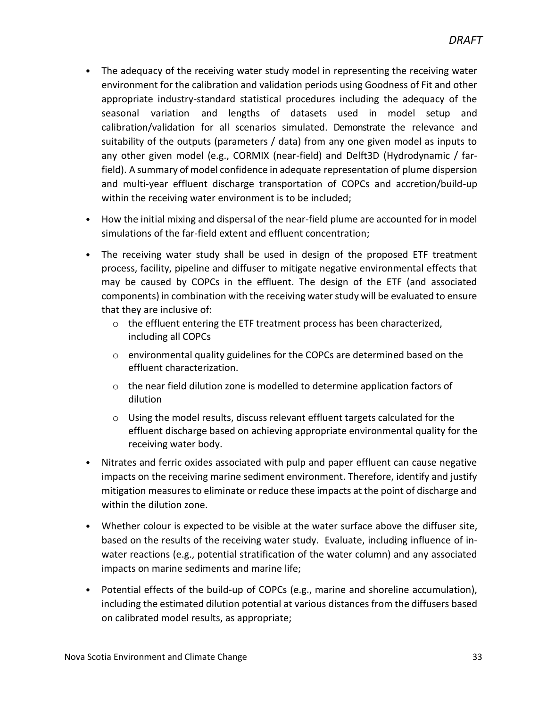- The adequacy of the receiving water study model in representing the receiving water environment for the calibration and validation periods using Goodness of Fit and other appropriate industry-standard statistical procedures including the adequacy of the seasonal variation and lengths of datasets used in model setup and calibration/validation for all scenarios simulated. Demonstrate the relevance and suitability of the outputs (parameters / data) from any one given model as inputs to any other given model (e.g., CORMIX (near-field) and Delft3D (Hydrodynamic / farfield). A summary of model confidence in adequate representation of plume dispersion and multi-year effluent discharge transportation of COPCs and accretion/build-up within the receiving water environment is to be included;
- How the initial mixing and dispersal of the near-field plume are accounted for in model simulations of the far-field extent and effluent concentration;
- The receiving water study shall be used in design of the proposed ETF treatment process, facility, pipeline and diffuser to mitigate negative environmental effects that may be caused by COPCs in the effluent. The design of the ETF (and associated components) in combination with the receiving water study will be evaluated to ensure that they are inclusive of:
	- o the effluent entering the ETF treatment process has been characterized, including all COPCs
	- $\circ$  environmental quality guidelines for the COPCs are determined based on the effluent characterization.
	- $\circ$  the near field dilution zone is modelled to determine application factors of dilution
	- $\circ$  Using the model results, discuss relevant effluent targets calculated for the effluent discharge based on achieving appropriate environmental quality for the receiving water body.
- Nitrates and ferric oxides associated with pulp and paper effluent can cause negative impacts on the receiving marine sediment environment. Therefore, identify and justify mitigation measures to eliminate or reduce these impacts at the point of discharge and within the dilution zone.
- Whether colour is expected to be visible at the water surface above the diffuser site, based on the results of the receiving water study. Evaluate, including influence of inwater reactions (e.g., potential stratification of the water column) and any associated impacts on marine sediments and marine life;
- Potential effects of the build-up of COPCs (e.g., marine and shoreline accumulation), including the estimated dilution potential at various distances from the diffusers based on calibrated model results, as appropriate;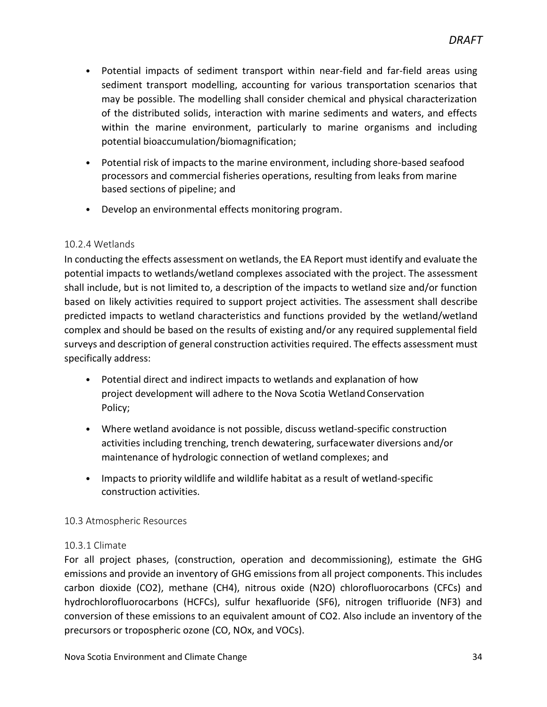- Potential impacts of sediment transport within near-field and far-field areas using sediment transport modelling, accounting for various transportation scenarios that may be possible. The modelling shall consider chemical and physical characterization of the distributed solids, interaction with marine sediments and waters, and effects within the marine environment, particularly to marine organisms and including potential bioaccumulation/biomagnification;
- Potential risk of impacts to the marine environment, including shore-based seafood processors and commercial fisheries operations, resulting from leaks from marine based sections of pipeline; and
- Develop an environmental effects monitoring program.

#### 10.2.4 Wetlands

In conducting the effects assessment on wetlands, the EA Report must identify and evaluate the potential impacts to wetlands/wetland complexes associated with the project. The assessment shall include, but is not limited to, a description of the impacts to wetland size and/or function based on likely activities required to support project activities. The assessment shall describe predicted impacts to wetland characteristics and functions provided by the wetland/wetland complex and should be based on the results of existing and/or any required supplemental field surveys and description of general construction activities required. The effects assessment must specifically address:

- Potential direct and indirect impacts to wetlands and explanation of how project development will adhere to the Nova Scotia WetlandConservation Policy;
- Where wetland avoidance is not possible, discuss wetland-specific construction activities including trenching, trench dewatering, surfacewater diversions and/or maintenance of hydrologic connection of wetland complexes; and
- Impacts to priority wildlife and wildlife habitat as a result of wetland-specific construction activities.

#### <span id="page-33-0"></span>10.3 Atmospheric Resources

#### 10.3.1 Climate

For all project phases, (construction, operation and decommissioning), estimate the GHG emissions and provide an inventory of GHG emissions from all project components. This includes carbon dioxide (CO2), methane (CH4), nitrous oxide (N2O) chlorofluorocarbons (CFCs) and hydrochlorofluorocarbons (HCFCs), sulfur hexafluoride (SF6), nitrogen trifluoride (NF3) and conversion of these emissions to an equivalent amount of CO2. Also include an inventory of the precursors or tropospheric ozone (CO, NOx, and VOCs).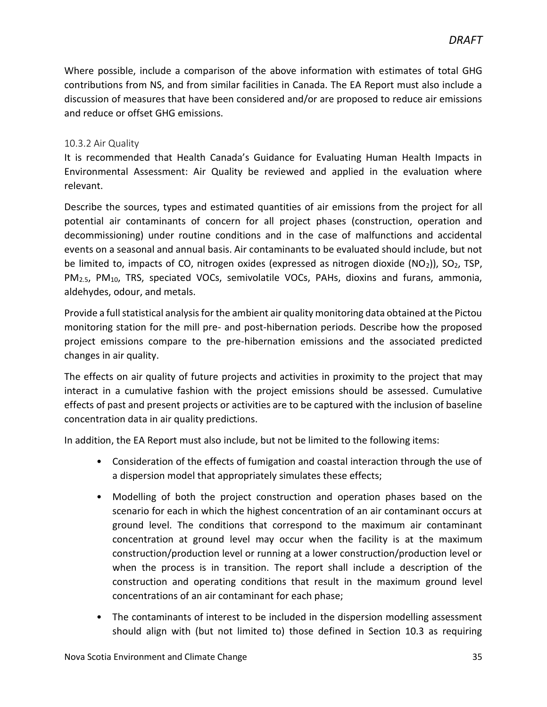Where possible, include a comparison of the above information with estimates of total GHG contributions from NS, and from similar facilities in Canada. The EA Report must also include a discussion of measures that have been considered and/or are proposed to reduce air emissions and reduce or offset GHG emissions.

#### 10.3.2 Air Quality

It is recommended that Health Canada's Guidance for Evaluating Human Health Impacts in Environmental Assessment: Air Quality be reviewed and applied in the evaluation where relevant.

Describe the sources, types and estimated quantities of air emissions from the project for all potential air contaminants of concern for all project phases (construction, operation and decommissioning) under routine conditions and in the case of malfunctions and accidental events on a seasonal and annual basis. Air contaminants to be evaluated should include, but not be limited to, impacts of CO, nitrogen oxides (expressed as nitrogen dioxide  $(NO<sub>2</sub>))$ , SO<sub>2</sub>, TSP, PM<sub>2.5</sub>, PM<sub>10</sub>, TRS, speciated VOCs, semivolatile VOCs, PAHs, dioxins and furans, ammonia, aldehydes, odour, and metals.

Provide a full statistical analysis for the ambient air quality monitoring data obtained at the Pictou monitoring station for the mill pre- and post-hibernation periods. Describe how the proposed project emissions compare to the pre-hibernation emissions and the associated predicted changes in air quality.

The effects on air quality of future projects and activities in proximity to the project that may interact in a cumulative fashion with the project emissions should be assessed. Cumulative effects of past and present projects or activities are to be captured with the inclusion of baseline concentration data in air quality predictions.

In addition, the EA Report must also include, but not be limited to the following items:

- Consideration of the effects of fumigation and coastal interaction through the use of a dispersion model that appropriately simulates these effects;
- Modelling of both the project construction and operation phases based on the scenario for each in which the highest concentration of an air contaminant occurs at ground level. The conditions that correspond to the maximum air contaminant concentration at ground level may occur when the facility is at the maximum construction/production level or running at a lower construction/production level or when the process is in transition. The report shall include a description of the construction and operating conditions that result in the maximum ground level concentrations of an air contaminant for each phase;
- The contaminants of interest to be included in the dispersion modelling assessment should align with (but not limited to) those defined in Section 10.3 as requiring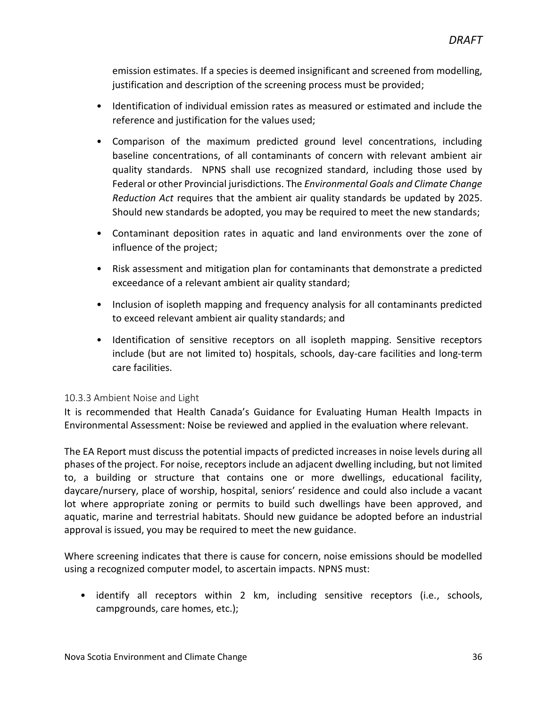emission estimates. If a species is deemed insignificant and screened from modelling, justification and description of the screening process must be provided;

- Identification of individual emission rates as measured or estimated and include the reference and justification for the values used;
- Comparison of the maximum predicted ground level concentrations, including baseline concentrations, of all contaminants of concern with relevant ambient air quality standards. NPNS shall use recognized standard, including those used by Federal or other Provincial jurisdictions. The *Environmental Goals and Climate Change Reduction Act* requires that the ambient air quality standards be updated by 2025. Should new standards be adopted, you may be required to meet the new standards;
- Contaminant deposition rates in aquatic and land environments over the zone of influence of the project;
- Risk assessment and mitigation plan for contaminants that demonstrate a predicted exceedance of a relevant ambient air quality standard;
- Inclusion of isopleth mapping and frequency analysis for all contaminants predicted to exceed relevant ambient air quality standards; and
- Identification of sensitive receptors on all isopleth mapping. Sensitive receptors include (but are not limited to) hospitals, schools, day-care facilities and long-term care facilities.

#### 10.3.3 Ambient Noise and Light

It is recommended that Health Canada's Guidance for Evaluating Human Health Impacts in Environmental Assessment: Noise be reviewed and applied in the evaluation where relevant.

The EA Report must discuss the potential impacts of predicted increases in noise levels during all phases of the project. For noise, receptors include an adjacent dwelling including, but not limited to, a building or structure that contains one or more dwellings, educational facility, daycare/nursery, place of worship, hospital, seniors' residence and could also include a vacant lot where appropriate zoning or permits to build such dwellings have been approved, and aquatic, marine and terrestrial habitats. Should new guidance be adopted before an industrial approval is issued, you may be required to meet the new guidance.

Where screening indicates that there is cause for concern, noise emissions should be modelled using a recognized computer model, to ascertain impacts. NPNS must:

• identify all receptors within 2 km, including sensitive receptors (i.e., schools, campgrounds, care homes, etc.);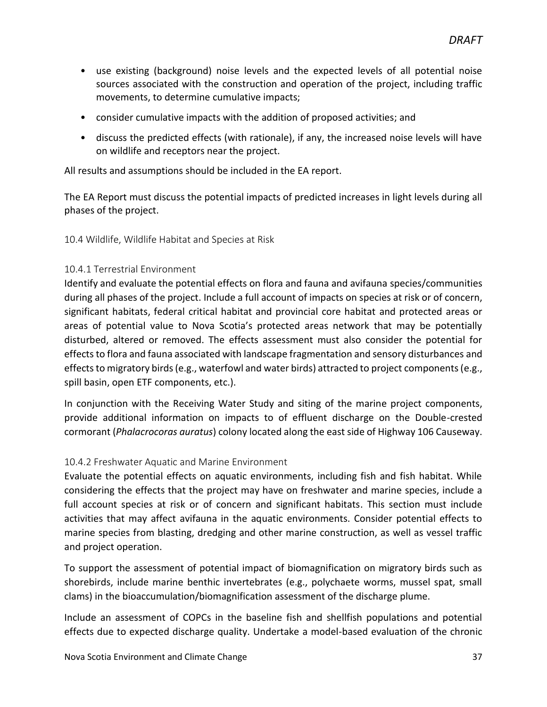- use existing (background) noise levels and the expected levels of all potential noise sources associated with the construction and operation of the project, including traffic movements, to determine cumulative impacts;
- consider cumulative impacts with the addition of proposed activities; and
- discuss the predicted effects (with rationale), if any, the increased noise levels will have on wildlife and receptors near the project.

All results and assumptions should be included in the EA report.

The EA Report must discuss the potential impacts of predicted increases in light levels during all phases of the project.

10.4 Wildlife, Wildlife Habitat and Species at Risk

#### 10.4.1 Terrestrial Environment

Identify and evaluate the potential effects on flora and fauna and avifauna species/communities during all phases of the project. Include a full account of impacts on species at risk or of concern, significant habitats, federal critical habitat and provincial core habitat and protected areas or areas of potential value to Nova Scotia's protected areas network that may be potentially disturbed, altered or removed. The effects assessment must also consider the potential for effects to flora and fauna associated with landscape fragmentation and sensory disturbances and effects to migratory birds (e.g., waterfowl and water birds) attracted to project components (e.g., spill basin, open ETF components, etc.).

In conjunction with the Receiving Water Study and siting of the marine project components, provide additional information on impacts to of effluent discharge on the Double-crested cormorant (*Phalacrocoras auratus*) colony located along the east side of Highway 106 Causeway.

#### <span id="page-36-0"></span>10.4.2 Freshwater Aquatic and Marine Environment

Evaluate the potential effects on aquatic environments, including fish and fish habitat. While considering the effects that the project may have on freshwater and marine species, include a full account species at risk or of concern and significant habitats. This section must include activities that may affect avifauna in the aquatic environments. Consider potential effects to marine species from blasting, dredging and other marine construction, as well as vessel traffic and project operation.

To support the assessment of potential impact of biomagnification on migratory birds such as shorebirds, include marine benthic invertebrates (e.g., polychaete worms, mussel spat, small clams) in the bioaccumulation/biomagnification assessment of the discharge plume.

Include an assessment of COPCs in the baseline fish and shellfish populations and potential effects due to expected discharge quality. Undertake a model-based evaluation of the chronic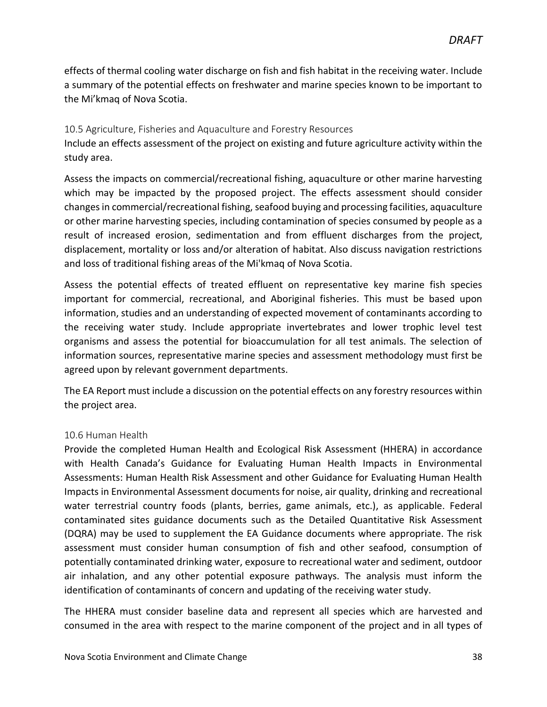effects of thermal cooling water discharge on fish and fish habitat in the receiving water. Include a summary of the potential effects on freshwater and marine species known to be important to the Mi'kmaq of Nova Scotia.

#### <span id="page-37-0"></span>10.5 Agriculture, Fisheries and Aquaculture and Forestry Resources

Include an effects assessment of the project on existing and future agriculture activity within the study area.

Assess the impacts on commercial/recreational fishing, aquaculture or other marine harvesting which may be impacted by the proposed project. The effects assessment should consider changes in commercial/recreational fishing, seafood buying and processing facilities, aquaculture or other marine harvesting species, including contamination of species consumed by people as a result of increased erosion, sedimentation and from effluent discharges from the project, displacement, mortality or loss and/or alteration of habitat. Also discuss navigation restrictions and loss of traditional fishing areas of the Mi'kmaq of Nova Scotia.

Assess the potential effects of treated effluent on representative key marine fish species important for commercial, recreational, and Aboriginal fisheries. This must be based upon information, studies and an understanding of expected movement of contaminants according to the receiving water study. Include appropriate invertebrates and lower trophic level test organisms and assess the potential for bioaccumulation for all test animals. The selection of information sources, representative marine species and assessment methodology must first be agreed upon by relevant government departments.

The EA Report must include a discussion on the potential effects on any forestry resources within the project area.

#### <span id="page-37-1"></span>10.6 Human Health

Provide the completed Human Health and Ecological Risk Assessment (HHERA) in accordance with Health Canada's Guidance for Evaluating Human Health Impacts in Environmental Assessments: Human Health Risk Assessment and other Guidance for Evaluating Human Health Impacts in Environmental Assessment documents for noise, air quality, drinking and recreational water terrestrial country foods (plants, berries, game animals, etc.), as applicable. Federal contaminated sites guidance documents such as the Detailed Quantitative Risk Assessment (DQRA) may be used to supplement the EA Guidance documents where appropriate. The risk assessment must consider human consumption of fish and other seafood, consumption of potentially contaminated drinking water, exposure to recreational water and sediment, outdoor air inhalation, and any other potential exposure pathways. The analysis must inform the identification of contaminants of concern and updating of the receiving water study.

The HHERA must consider baseline data and represent all species which are harvested and consumed in the area with respect to the marine component of the project and in all types of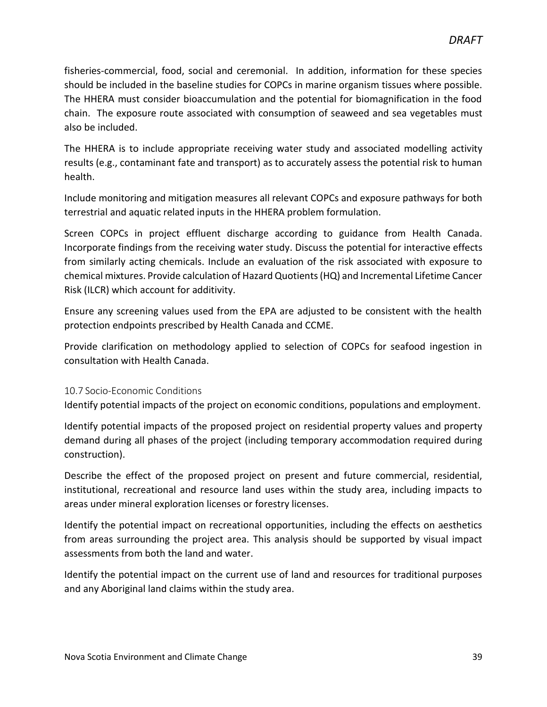fisheries-commercial, food, social and ceremonial. In addition, information for these species should be included in the baseline studies for COPCs in marine organism tissues where possible. The HHERA must consider bioaccumulation and the potential for biomagnification in the food chain. The exposure route associated with consumption of seaweed and sea vegetables must also be included.

The HHERA is to include appropriate receiving water study and associated modelling activity results (e.g., contaminant fate and transport) as to accurately assess the potential risk to human health.

Include monitoring and mitigation measures all relevant COPCs and exposure pathways for both terrestrial and aquatic related inputs in the HHERA problem formulation.

Screen COPCs in project effluent discharge according to guidance from Health Canada. Incorporate findings from the receiving water study. Discuss the potential for interactive effects from similarly acting chemicals. Include an evaluation of the risk associated with exposure to chemical mixtures. Provide calculation of Hazard Quotients (HQ) and Incremental Lifetime Cancer Risk (ILCR) which account for additivity.

Ensure any screening values used from the EPA are adjusted to be consistent with the health protection endpoints prescribed by Health Canada and CCME.

Provide clarification on methodology applied to selection of COPCs for seafood ingestion in consultation with Health Canada.

#### <span id="page-38-0"></span>10.7 Socio-Economic Conditions

Identify potential impacts of the project on economic conditions, populations and employment.

Identify potential impacts of the proposed project on residential property values and property demand during all phases of the project (including temporary accommodation required during construction).

Describe the effect of the proposed project on present and future commercial, residential, institutional, recreational and resource land uses within the study area, including impacts to areas under mineral exploration licenses or forestry licenses.

Identify the potential impact on recreational opportunities, including the effects on aesthetics from areas surrounding the project area. This analysis should be supported by visual impact assessments from both the land and water.

Identify the potential impact on the current use of land and resources for traditional purposes and any Aboriginal land claims within the study area.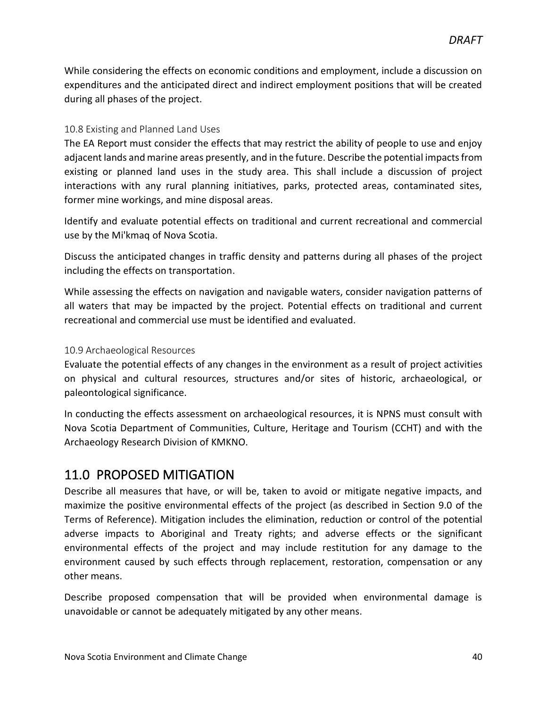While considering the effects on economic conditions and employment, include a discussion on expenditures and the anticipated direct and indirect employment positions that will be created during all phases of the project.

#### <span id="page-39-0"></span>10.8 Existing and Planned Land Uses

The EA Report must consider the effects that may restrict the ability of people to use and enjoy adjacent lands and marine areas presently, and in the future. Describe the potential impacts from existing or planned land uses in the study area. This shall include a discussion of project interactions with any rural planning initiatives, parks, protected areas, contaminated sites, former mine workings, and mine disposal areas.

Identify and evaluate potential effects on traditional and current recreational and commercial use by the Mi'kmaq of Nova Scotia.

Discuss the anticipated changes in traffic density and patterns during all phases of the project including the effects on transportation.

While assessing the effects on navigation and navigable waters, consider navigation patterns of all waters that may be impacted by the project. Potential effects on traditional and current recreational and commercial use must be identified and evaluated.

#### <span id="page-39-1"></span>10.9 Archaeological Resources

Evaluate the potential effects of any changes in the environment as a result of project activities on physical and cultural resources, structures and/or sites of historic, archaeological, or paleontological significance.

In conducting the effects assessment on archaeological resources, it is NPNS must consult with Nova Scotia Department of Communities, Culture, Heritage and Tourism (CCHT) and with the Archaeology Research Division of KMKNO.

### <span id="page-39-2"></span>11.0 PROPOSED MITIGATION

Describe all measures that have, or will be, taken to avoid or mitigate negative impacts, and maximize the positive environmental effects of the project (as described in Section 9.0 of the Terms of Reference). Mitigation includes the elimination, reduction or control of the potential adverse impacts to Aboriginal and Treaty rights; and adverse effects or the significant environmental effects of the project and may include restitution for any damage to the environment caused by such effects through replacement, restoration, compensation or any other means.

Describe proposed compensation that will be provided when environmental damage is unavoidable or cannot be adequately mitigated by any other means.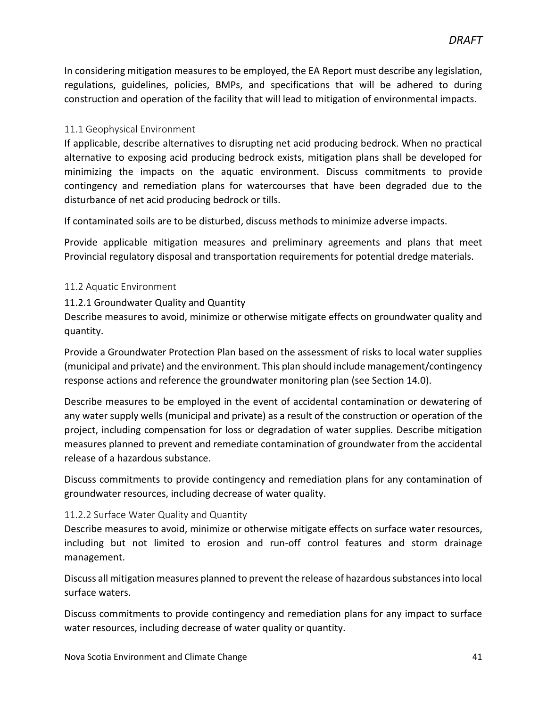In considering mitigation measures to be employed, the EA Report must describe any legislation, regulations, guidelines, policies, BMPs, and specifications that will be adhered to during construction and operation of the facility that will lead to mitigation of environmental impacts.

#### <span id="page-40-0"></span>11.1 Geophysical Environment

If applicable, describe alternatives to disrupting net acid producing bedrock. When no practical alternative to exposing acid producing bedrock exists, mitigation plans shall be developed for minimizing the impacts on the aquatic environment. Discuss commitments to provide contingency and remediation plans for watercourses that have been degraded due to the disturbance of net acid producing bedrock or tills.

If contaminated soils are to be disturbed, discuss methods to minimize adverse impacts.

Provide applicable mitigation measures and preliminary agreements and plans that meet Provincial regulatory disposal and transportation requirements for potential dredge materials.

#### <span id="page-40-1"></span>11.2 Aquatic Environment

<span id="page-40-2"></span>11.2.1 Groundwater Quality and Quantity

Describe measures to avoid, minimize or otherwise mitigate effects on groundwater quality and quantity.

Provide a Groundwater Protection Plan based on the assessment of risks to local water supplies (municipal and private) and the environment. This plan should include management/contingency response actions and reference the groundwater monitoring plan (see Section 14.0).

Describe measures to be employed in the event of accidental contamination or dewatering of any water supply wells (municipal and private) as a result of the construction or operation of the project, including compensation for loss or degradation of water supplies. Describe mitigation measures planned to prevent and remediate contamination of groundwater from the accidental release of a hazardous substance.

Discuss commitments to provide contingency and remediation plans for any contamination of groundwater resources, including decrease of water quality.

#### <span id="page-40-3"></span>11.2.2 Surface Water Quality and Quantity

Describe measures to avoid, minimize or otherwise mitigate effects on surface water resources, including but not limited to erosion and run-off control features and storm drainage management.

Discuss all mitigation measures planned to prevent the release of hazardous substances into local surface waters.

Discuss commitments to provide contingency and remediation plans for any impact to surface water resources, including decrease of water quality or quantity.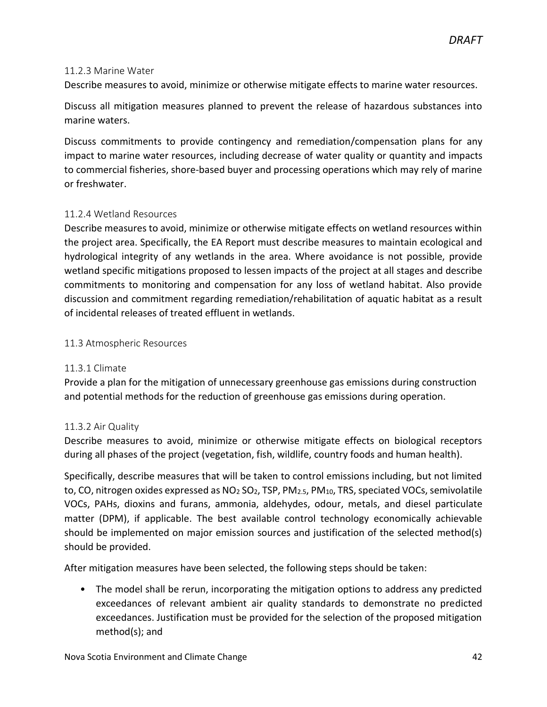#### <span id="page-41-0"></span>11.2.3 Marine Water

Describe measures to avoid, minimize or otherwise mitigate effects to marine water resources.

Discuss all mitigation measures planned to prevent the release of hazardous substances into marine waters.

Discuss commitments to provide contingency and remediation/compensation plans for any impact to marine water resources, including decrease of water quality or quantity and impacts to commercial fisheries, shore-based buyer and processing operations which may rely of marine or freshwater.

#### <span id="page-41-1"></span>11.2.4 Wetland Resources

Describe measures to avoid, minimize or otherwise mitigate effects on wetland resources within the project area. Specifically, the EA Report must describe measures to maintain ecological and hydrological integrity of any wetlands in the area. Where avoidance is not possible, provide wetland specific mitigations proposed to lessen impacts of the project at all stages and describe commitments to monitoring and compensation for any loss of wetland habitat. Also provide discussion and commitment regarding remediation/rehabilitation of aquatic habitat as a result of incidental releases of treated effluent in wetlands.

#### <span id="page-41-2"></span>11.3 Atmospheric Resources

#### <span id="page-41-3"></span>11.3.1 Climate

Provide a plan for the mitigation of unnecessary greenhouse gas emissions during construction and potential methods for the reduction of greenhouse gas emissions during operation.

#### <span id="page-41-4"></span>11.3.2 Air Quality

Describe measures to avoid, minimize or otherwise mitigate effects on biological receptors during all phases of the project (vegetation, fish, wildlife, country foods and human health).

Specifically, describe measures that will be taken to control emissions including, but not limited to, CO, nitrogen oxides expressed as  $NO<sub>2</sub> SO<sub>2</sub>$ , TSP, PM<sub>2.5</sub>, PM<sub>10</sub>, TRS, speciated VOCs, semivolatile VOCs, PAHs, dioxins and furans, ammonia, aldehydes, odour, metals, and diesel particulate matter (DPM), if applicable. The best available control technology economically achievable should be implemented on major emission sources and justification of the selected method(s) should be provided.

After mitigation measures have been selected, the following steps should be taken:

• The model shall be rerun, incorporating the mitigation options to address any predicted exceedances of relevant ambient air quality standards to demonstrate no predicted exceedances. Justification must be provided for the selection of the proposed mitigation method(s); and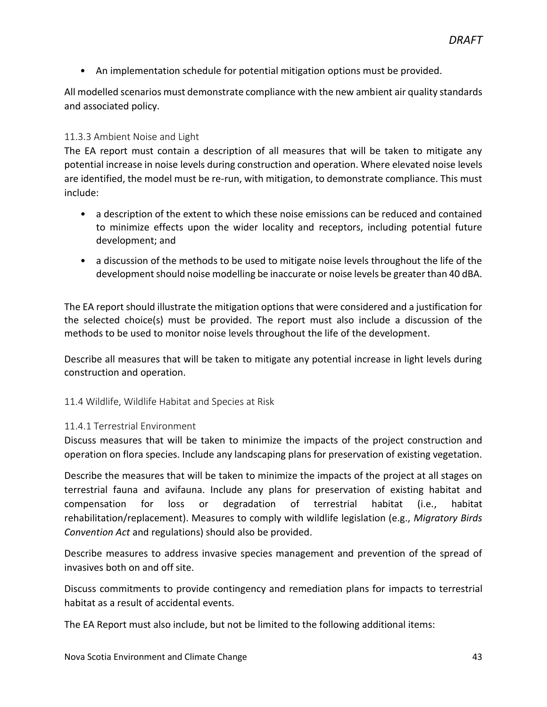• An implementation schedule for potential mitigation options must be provided.

All modelled scenarios must demonstrate compliance with the new ambient air quality standards and associated policy.

#### <span id="page-42-0"></span>11.3.3 Ambient Noise and Light

The EA report must contain a description of all measures that will be taken to mitigate any potential increase in noise levels during construction and operation. Where elevated noise levels are identified, the model must be re-run, with mitigation, to demonstrate compliance. This must include:

- a description of the extent to which these noise emissions can be reduced and contained to minimize effects upon the wider locality and receptors, including potential future development; and
- a discussion of the methods to be used to mitigate noise levels throughout the life of the development should noise modelling be inaccurate or noise levels be greater than 40 dBA.

The EA report should illustrate the mitigation options that were considered and a justification for the selected choice(s) must be provided. The report must also include a discussion of the methods to be used to monitor noise levels throughout the life of the development.

Describe all measures that will be taken to mitigate any potential increase in light levels during construction and operation.

<span id="page-42-1"></span>11.4 Wildlife, Wildlife Habitat and Species at Risk

#### <span id="page-42-2"></span>11.4.1 Terrestrial Environment

Discuss measures that will be taken to minimize the impacts of the project construction and operation on flora species. Include any landscaping plans for preservation of existing vegetation.

Describe the measures that will be taken to minimize the impacts of the project at all stages on terrestrial fauna and avifauna. Include any plans for preservation of existing habitat and compensation for loss or degradation of terrestrial habitat (i.e., habitat rehabilitation/replacement). Measures to comply with wildlife legislation (e.g., *Migratory Birds Convention Act* and regulations) should also be provided.

Describe measures to address invasive species management and prevention of the spread of invasives both on and off site.

Discuss commitments to provide contingency and remediation plans for impacts to terrestrial habitat as a result of accidental events.

The EA Report must also include, but not be limited to the following additional items: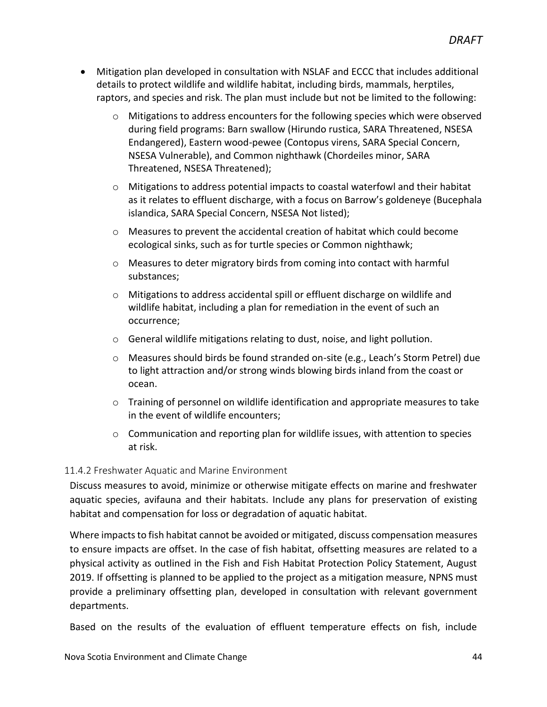- Mitigation plan developed in consultation with NSLAF and ECCC that includes additional details to protect wildlife and wildlife habitat, including birds, mammals, herptiles, raptors, and species and risk. The plan must include but not be limited to the following:
	- $\circ$  Mitigations to address encounters for the following species which were observed during field programs: Barn swallow (Hirundo rustica, SARA Threatened, NSESA Endangered), Eastern wood-pewee (Contopus virens, SARA Special Concern, NSESA Vulnerable), and Common nighthawk (Chordeiles minor, SARA Threatened, NSESA Threatened);
	- o Mitigations to address potential impacts to coastal waterfowl and their habitat as it relates to effluent discharge, with a focus on Barrow's goldeneye (Bucephala islandica, SARA Special Concern, NSESA Not listed);
	- o Measures to prevent the accidental creation of habitat which could become ecological sinks, such as for turtle species or Common nighthawk;
	- o Measures to deter migratory birds from coming into contact with harmful substances;
	- o Mitigations to address accidental spill or effluent discharge on wildlife and wildlife habitat, including a plan for remediation in the event of such an occurrence;
	- o General wildlife mitigations relating to dust, noise, and light pollution.
	- o Measures should birds be found stranded on-site (e.g., Leach's Storm Petrel) due to light attraction and/or strong winds blowing birds inland from the coast or ocean.
	- o Training of personnel on wildlife identification and appropriate measures to take in the event of wildlife encounters;
	- $\circ$  Communication and reporting plan for wildlife issues, with attention to species at risk.

#### <span id="page-43-0"></span>11.4.2 Freshwater Aquatic and Marine Environment

Discuss measures to avoid, minimize or otherwise mitigate effects on marine and freshwater aquatic species, avifauna and their habitats. Include any plans for preservation of existing habitat and compensation for loss or degradation of aquatic habitat.

Where impacts to fish habitat cannot be avoided or mitigated, discuss compensation measures to ensure impacts are offset. In the case of fish habitat, offsetting measures are related to a physical activity as outlined in the Fish and Fish Habitat Protection Policy Statement, August 2019. If offsetting is planned to be applied to the project as a mitigation measure, NPNS must provide a preliminary offsetting plan, developed in consultation with relevant government departments.

Based on the results of the evaluation of effluent temperature effects on fish, include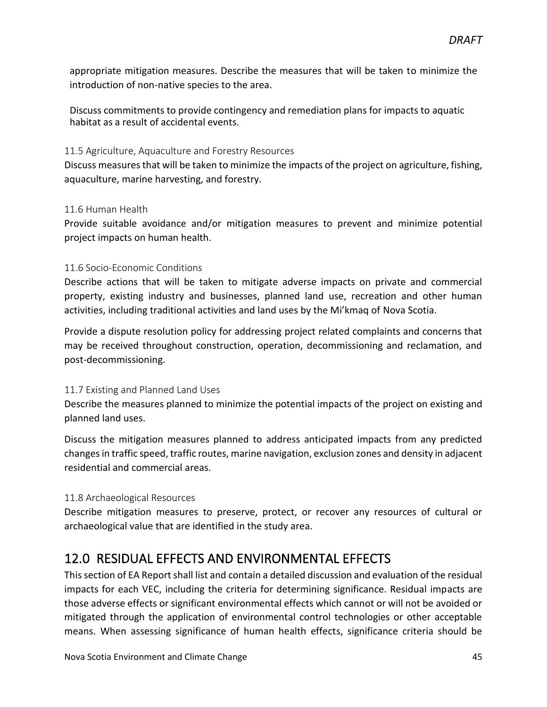appropriate mitigation measures. Describe the measures that will be taken to minimize the introduction of non-native species to the area.

Discuss commitments to provide contingency and remediation plans for impacts to aquatic habitat as a result of accidental events.

#### <span id="page-44-0"></span>11.5 Agriculture, Aquaculture and Forestry Resources

Discuss measures that will be taken to minimize the impacts of the project on agriculture, fishing, aquaculture, marine harvesting, and forestry.

#### <span id="page-44-1"></span>11.6 Human Health

Provide suitable avoidance and/or mitigation measures to prevent and minimize potential project impacts on human health.

#### <span id="page-44-2"></span>11.6 Socio-Economic Conditions

Describe actions that will be taken to mitigate adverse impacts on private and commercial property, existing industry and businesses, planned land use, recreation and other human activities, including traditional activities and land uses by the Mi'kmaq of Nova Scotia.

Provide a dispute resolution policy for addressing project related complaints and concerns that may be received throughout construction, operation, decommissioning and reclamation, and post-decommissioning.

#### <span id="page-44-3"></span>11.7 Existing and Planned Land Uses

Describe the measures planned to minimize the potential impacts of the project on existing and planned land uses.

Discuss the mitigation measures planned to address anticipated impacts from any predicted changes in traffic speed, traffic routes, marine navigation, exclusion zones and density in adjacent residential and commercial areas.

#### <span id="page-44-4"></span>11.8 Archaeological Resources

Describe mitigation measures to preserve, protect, or recover any resources of cultural or archaeological value that are identified in the study area.

### <span id="page-44-5"></span>12.0 RESIDUAL EFFECTS AND ENVIRONMENTAL EFFECTS

This section of EA Report shall list and contain a detailed discussion and evaluation of the residual impacts for each VEC, including the criteria for determining significance. Residual impacts are those adverse effects or significant environmental effects which cannot or will not be avoided or mitigated through the application of environmental control technologies or other acceptable means. When assessing significance of human health effects, significance criteria should be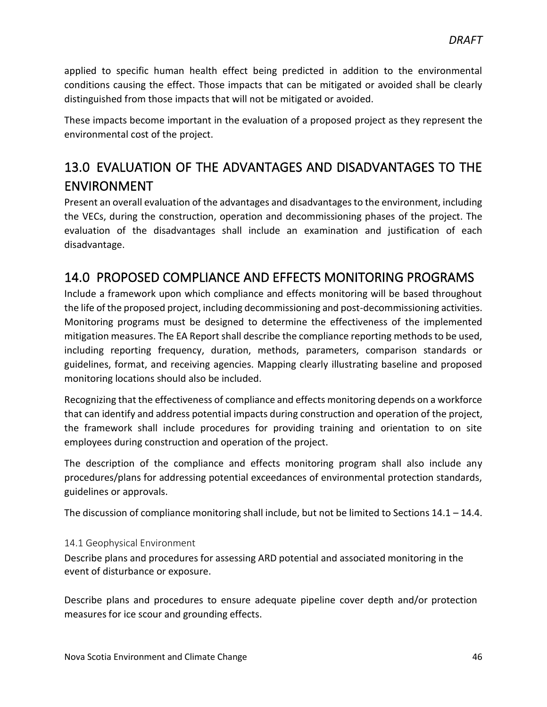applied to specific human health effect being predicted in addition to the environmental conditions causing the effect. Those impacts that can be mitigated or avoided shall be clearly distinguished from those impacts that will not be mitigated or avoided.

These impacts become important in the evaluation of a proposed project as they represent the environmental cost of the project.

# <span id="page-45-0"></span>13.0 EVALUATION OF THE ADVANTAGES AND DISADVANTAGES TO THE ENVIRONMENT

Present an overall evaluation of the advantages and disadvantages to the environment, including the VECs, during the construction, operation and decommissioning phases of the project. The evaluation of the disadvantages shall include an examination and justification of each disadvantage.

### <span id="page-45-1"></span>14.0 PROPOSED COMPLIANCE AND EFFECTS MONITORING PROGRAMS

Include a framework upon which compliance and effects monitoring will be based throughout the life of the proposed project, including decommissioning and post-decommissioning activities. Monitoring programs must be designed to determine the effectiveness of the implemented mitigation measures. The EA Report shall describe the compliance reporting methods to be used, including reporting frequency, duration, methods, parameters, comparison standards or guidelines, format, and receiving agencies. Mapping clearly illustrating baseline and proposed monitoring locations should also be included.

Recognizing that the effectiveness of compliance and effects monitoring depends on a workforce that can identify and address potential impacts during construction and operation of the project, the framework shall include procedures for providing training and orientation to on site employees during construction and operation of the project.

The description of the compliance and effects monitoring program shall also include any procedures/plans for addressing potential exceedances of environmental protection standards, guidelines or approvals.

The discussion of compliance monitoring shall include, but not be limited to Sections 14.1 – 14.4.

#### <span id="page-45-2"></span>14.1 Geophysical Environment

Describe plans and procedures for assessing ARD potential and associated monitoring in the event of disturbance or exposure.

Describe plans and procedures to ensure adequate pipeline cover depth and/or protection measures for ice scour and grounding effects.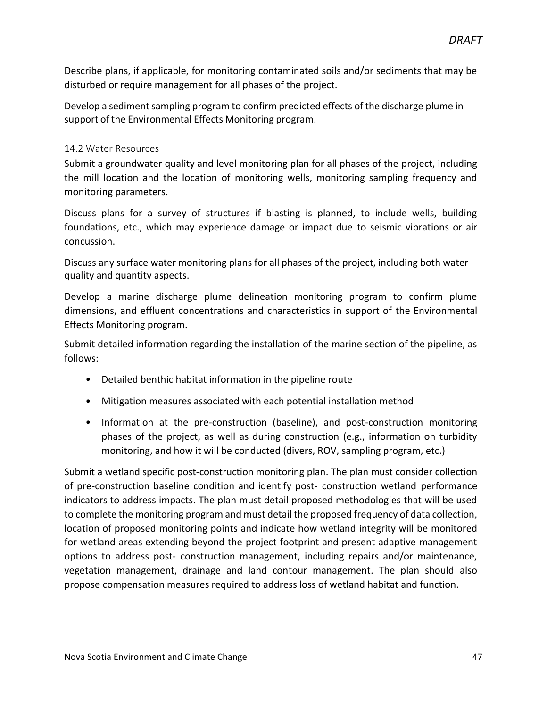Describe plans, if applicable, for monitoring contaminated soils and/or sediments that may be disturbed or require management for all phases of the project.

Develop a sediment sampling program to confirm predicted effects of the discharge plume in support of the Environmental Effects Monitoring program.

#### <span id="page-46-0"></span>14.2 Water Resources

Submit a groundwater quality and level monitoring plan for all phases of the project, including the mill location and the location of monitoring wells, monitoring sampling frequency and monitoring parameters.

Discuss plans for a survey of structures if blasting is planned, to include wells, building foundations, etc., which may experience damage or impact due to seismic vibrations or air concussion.

Discuss any surface water monitoring plans for all phases of the project, including both water quality and quantity aspects.

Develop a marine discharge plume delineation monitoring program to confirm plume dimensions, and effluent concentrations and characteristics in support of the Environmental Effects Monitoring program.

Submit detailed information regarding the installation of the marine section of the pipeline, as follows:

- Detailed benthic habitat information in the pipeline route
- Mitigation measures associated with each potential installation method
- Information at the pre-construction (baseline), and post-construction monitoring phases of the project, as well as during construction (e.g., information on turbidity monitoring, and how it will be conducted (divers, ROV, sampling program, etc.)

Submit a wetland specific post-construction monitoring plan. The plan must consider collection of pre-construction baseline condition and identify post- construction wetland performance indicators to address impacts. The plan must detail proposed methodologies that will be used to complete the monitoring program and must detail the proposed frequency of data collection, location of proposed monitoring points and indicate how wetland integrity will be monitored for wetland areas extending beyond the project footprint and present adaptive management options to address post- construction management, including repairs and/or maintenance, vegetation management, drainage and land contour management. The plan should also propose compensation measures required to address loss of wetland habitat and function.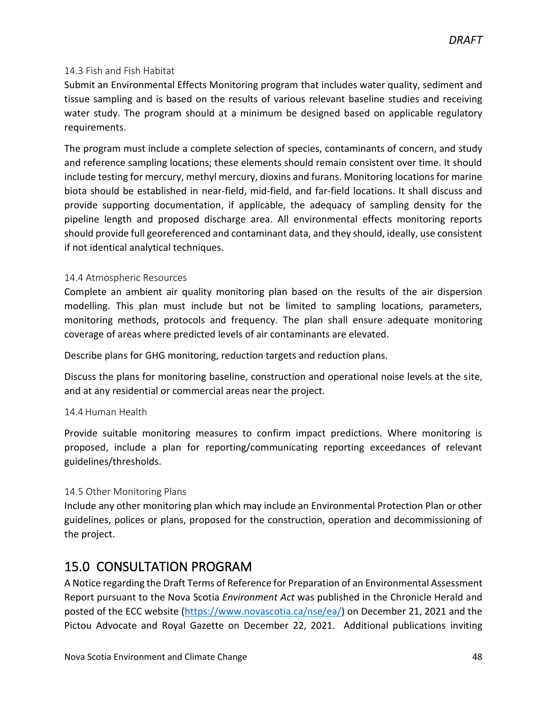#### <span id="page-47-0"></span>14.3 Fish and Fish Habitat

Submit an Environmental Effects Monitoring program that includes water quality, sediment and tissue sampling and is based on the results of various relevant baseline studies and receiving water study. The program should at a minimum be designed based on applicable regulatory requirements.

The program must include a complete selection of species, contaminants of concern, and study and reference sampling locations; these elements should remain consistent over time. It should include testing for mercury, methyl mercury, dioxins and furans. Monitoring locations for marine biota should be established in near-field, mid-field, and far-field locations. It shall discuss and provide supporting documentation, if applicable, the adequacy of sampling density for the pipeline length and proposed discharge area. All environmental effects monitoring reports should provide full georeferenced and contaminant data, and they should, ideally, use consistent if not identical analytical techniques.

#### <span id="page-47-1"></span>14.4 Atmospheric Resources

Complete an ambient air quality monitoring plan based on the results of the air dispersion modelling. This plan must include but not be limited to sampling locations, parameters, monitoring methods, protocols and frequency. The plan shall ensure adequate monitoring coverage of areas where predicted levels of air contaminants are elevated.

Describe plans for GHG monitoring, reduction targets and reduction plans.

Discuss the plans for monitoring baseline, construction and operational noise levels at the site, and at any residential or commercial areas near the project.

#### 14.4 Human Health

Provide suitable monitoring measures to confirm impact predictions. Where monitoring is proposed, include a plan for reporting/communicating reporting exceedances of relevant guidelines/thresholds.

#### <span id="page-47-2"></span>14.5 Other Monitoring Plans

Include any other monitoring plan which may include an Environmental Protection Plan or other guidelines, polices or plans, proposed for the construction, operation and decommissioning of the project.

# <span id="page-47-3"></span>15.0 CONSULTATION PROGRAM

A Notice regarding the Draft Terms of Reference for Preparation of an Environmental Assessment Report pursuant to the Nova Scotia *Environment Act* was published in the Chronicle Herald and posted of the ECC website [\(https://www.novascotia.ca/nse/ea/\)](https://www.novascotia.ca/nse/ea/) on December 21, 2021 and the Pictou Advocate and Royal Gazette on December 22, 2021. Additional publications inviting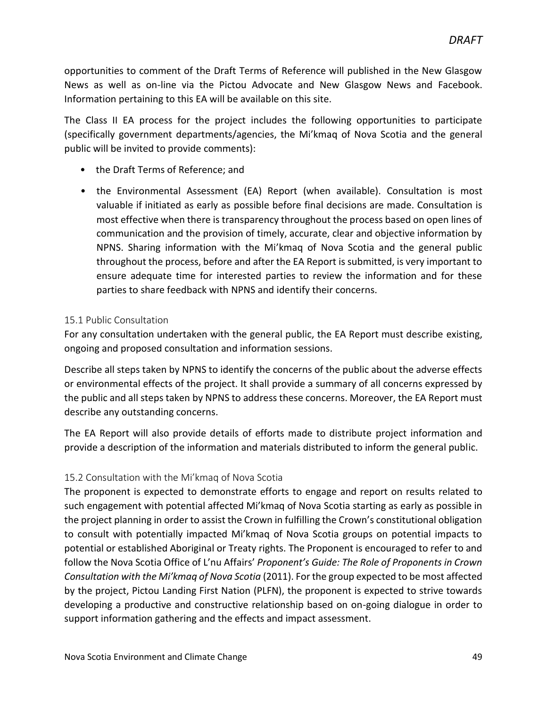opportunities to comment of the Draft Terms of Reference will published in the New Glasgow News as well as on-line via the Pictou Advocate and New Glasgow News and Facebook. Information pertaining to this EA will be available on this site.

The Class II EA process for the project includes the following opportunities to participate (specifically government departments/agencies, the Mi'kmaq of Nova Scotia and the general public will be invited to provide comments):

- the Draft Terms of Reference; and
- the Environmental Assessment (EA) Report (when available). Consultation is most valuable if initiated as early as possible before final decisions are made. Consultation is most effective when there is transparency throughout the process based on open lines of communication and the provision of timely, accurate, clear and objective information by NPNS. Sharing information with the Mi'kmaq of Nova Scotia and the general public throughout the process, before and after the EA Report is submitted, is very important to ensure adequate time for interested parties to review the information and for these parties to share feedback with NPNS and identify their concerns.

#### <span id="page-48-0"></span>15.1 Public Consultation

For any consultation undertaken with the general public, the EA Report must describe existing, ongoing and proposed consultation and information sessions.

Describe all steps taken by NPNS to identify the concerns of the public about the adverse effects or environmental effects of the project. It shall provide a summary of all concerns expressed by the public and all steps taken by NPNS to address these concerns. Moreover, the EA Report must describe any outstanding concerns.

The EA Report will also provide details of efforts made to distribute project information and provide a description of the information and materials distributed to inform the general public.

#### <span id="page-48-1"></span>15.2 Consultation with the Mi'kmaq of Nova Scotia

The proponent is expected to demonstrate efforts to engage and report on results related to such engagement with potential affected Mi'kmaq of Nova Scotia starting as early as possible in the project planning in order to assist the Crown in fulfilling the Crown's constitutional obligation to consult with potentially impacted Mi'kmaq of Nova Scotia groups on potential impacts to potential or established Aboriginal or Treaty rights. The Proponent is encouraged to refer to and follow the Nova Scotia Office of L'nu Affairs' *Proponent's Guide: The Role of Proponents in Crown Consultation with the Mi'kmaq of Nova Scotia* (2011). For the group expected to be most affected by the project, Pictou Landing First Nation (PLFN), the proponent is expected to strive towards developing a productive and constructive relationship based on on-going dialogue in order to support information gathering and the effects and impact assessment.